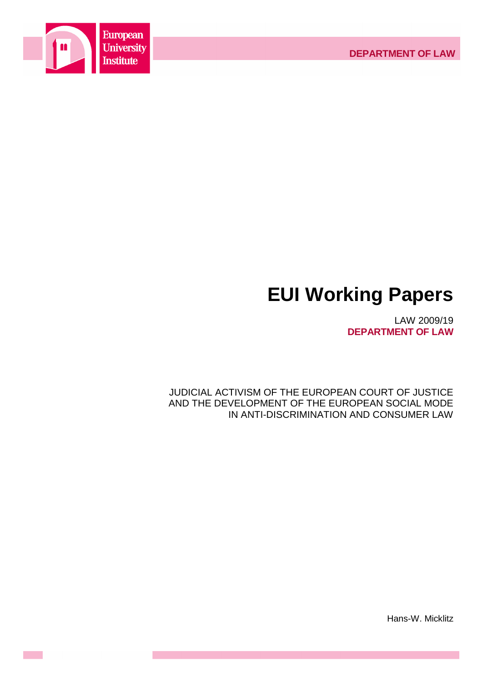



# **EUI Working Papers**

LAW 2009/19 **DEPARTMENT OF LAW**

JUDICIAL ACTIVISM OF THE EUROPEAN COURT OF JUSTICE AND THE DEVELOPMENT OF THE EUROPEAN SOCIAL MODE IN ANTI-DISCRIMINATION AND CONSUMER LAW

Hans-W. Micklitz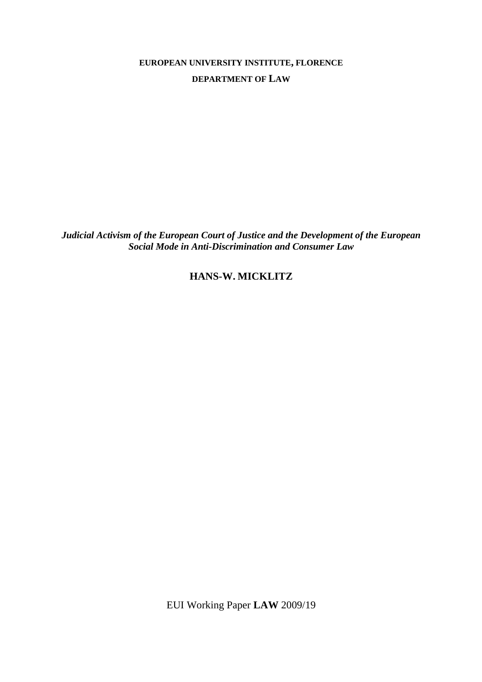# **EUROPEAN UNIVERSITY INSTITUTE, FLORENCE DEPARTMENT OF LAW**

*Judicial Activism of the European Court of Justice and the Development of the European Social Mode in Anti-Discrimination and Consumer Law*

## **HANS-W. MICKLITZ**

EUI Working Paper **LAW** 2009/19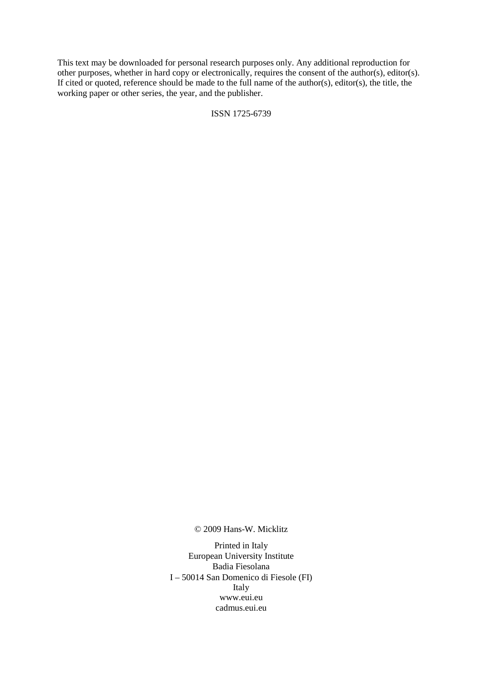This text may be downloaded for personal research purposes only. Any additional reproduction for other purposes, whether in hard copy or electronically, requires the consent of the author(s), editor(s). If cited or quoted, reference should be made to the full name of the author(s), editor(s), the title, the working paper or other series, the year, and the publisher.

ISSN 1725-6739

© 2009 Hans-W. Micklitz

Printed in Italy European University Institute Badia Fiesolana I – 50014 San Domenico di Fiesole (FI) Italy www.eui.eu cadmus.eui.eu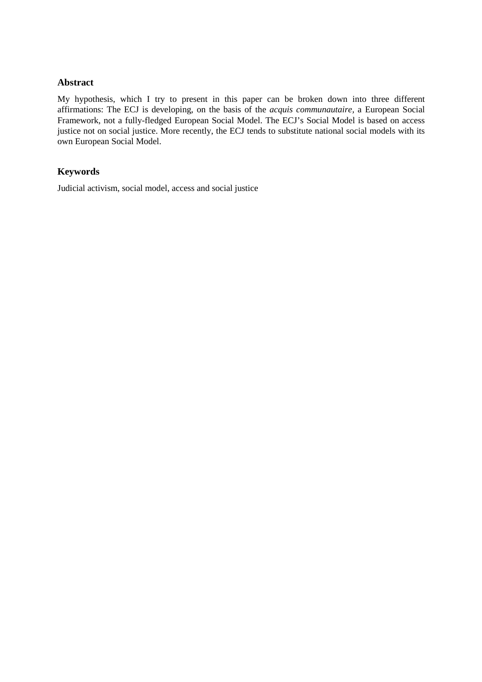## **Abstract**

My hypothesis, which I try to present in this paper can be broken down into three different affirmations: The ECJ is developing, on the basis of the *acquis communautaire,* a European Social Framework, not a fully-fledged European Social Model. The ECJ's Social Model is based on access justice not on social justice. More recently, the ECJ tends to substitute national social models with its own European Social Model.

## **Keywords**

Judicial activism, social model, access and social justice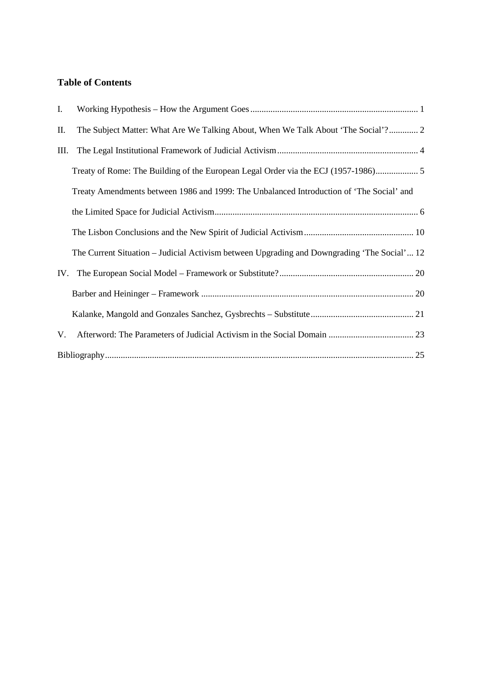# **Table of Contents**

| I.   |                                                                                             |
|------|---------------------------------------------------------------------------------------------|
| П.   | The Subject Matter: What Are We Talking About, When We Talk About 'The Social'? 2           |
| III. |                                                                                             |
|      | Treaty of Rome: The Building of the European Legal Order via the ECJ (1957-1986)            |
|      | Treaty Amendments between 1986 and 1999: The Unbalanced Introduction of 'The Social' and    |
|      |                                                                                             |
|      |                                                                                             |
|      | The Current Situation – Judicial Activism between Upgrading and Downgrading 'The Social' 12 |
| IV.  |                                                                                             |
|      |                                                                                             |
|      |                                                                                             |
| V.   |                                                                                             |
|      |                                                                                             |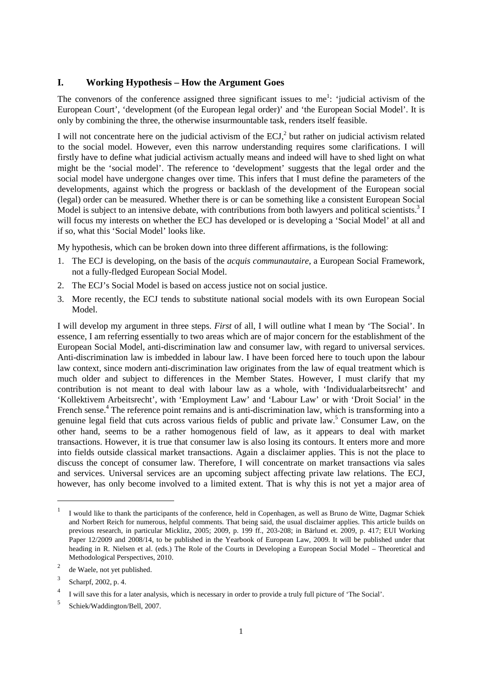## **I. Working Hypothesis – How the Argument Goes**

The convenors of the conference assigned three significant issues to me<sup>1</sup>: 'judicial activism of the European Court', 'development (of the European legal order)' and 'the European Social Model'. It is only by combining the three, the otherwise insurmountable task, renders itself feasible.

I will not concentrate here on the judicial activism of the  $ECJ<sub>i</sub><sup>2</sup>$  but rather on judicial activism related to the social model. However, even this narrow understanding requires some clarifications. I will firstly have to define what judicial activism actually means and indeed will have to shed light on what might be the 'social model'. The reference to 'development' suggests that the legal order and the social model have undergone changes over time. This infers that I must define the parameters of the developments, against which the progress or backlash of the development of the European social (legal) order can be measured. Whether there is or can be something like a consistent European Social Model is subject to an intensive debate, with contributions from both lawyers and political scientists.<sup>3</sup> I will focus my interests on whether the ECJ has developed or is developing a 'Social Model' at all and if so, what this 'Social Model' looks like.

My hypothesis, which can be broken down into three different affirmations, is the following:

- 1. The ECJ is developing, on the basis of the *acquis communautaire,* a European Social Framework, not a fully-fledged European Social Model.
- 2. The ECJ's Social Model is based on access justice not on social justice.
- 3. More recently, the ECJ tends to substitute national social models with its own European Social Model.

I will develop my argument in three steps. *First* of all, I will outline what I mean by 'The Social'. In essence, I am referring essentially to two areas which are of major concern for the establishment of the European Social Model, anti-discrimination law and consumer law, with regard to universal services. Anti-discrimination law is imbedded in labour law. I have been forced here to touch upon the labour law context, since modern anti-discrimination law originates from the law of equal treatment which is much older and subject to differences in the Member States. However, I must clarify that my contribution is not meant to deal with labour law as a whole, with 'Individualarbeitsrecht' and 'Kollektivem Arbeitsrecht', with 'Employment Law' and 'Labour Law' or with 'Droit Social' in the French sense.<sup>4</sup> The reference point remains and is anti-discrimination law, which is transforming into a genuine legal field that cuts across various fields of public and private law.<sup>5</sup> Consumer Law, on the other hand, seems to be a rather homogenous field of law, as it appears to deal with market transactions. However, it is true that consumer law is also losing its contours. It enters more and more into fields outside classical market transactions. Again a disclaimer applies. This is not the place to discuss the concept of consumer law. Therefore, I will concentrate on market transactions via sales and services. Universal services are an upcoming subject affecting private law relations. The ECJ, however, has only become involved to a limited extent. That is why this is not yet a major area of

l

<sup>1</sup> I would like to thank the participants of the conference, held in Copenhagen, as well as Bruno de Witte, Dagmar Schiek and Norbert Reich for numerous, helpful comments. That being said, the usual disclaimer applies. This article builds on previous research, in particular Micklitz, 2005; 2009, p. 199 ff., 203-208; in Bärlund et. 2009, p. 417; EUI Working Paper 12/2009 and 2008/14, to be published in the Yearbook of European Law, 2009. It will be published under that heading in R. Nielsen et al. (eds.) The Role of the Courts in Developing a European Social Model – Theoretical and Methodological Perspectives, 2010.

<sup>2</sup> de Waele, not yet published.

<sup>3</sup> Scharpf, 2002, p. 4.

<sup>4</sup> I will save this for a later analysis, which is necessary in order to provide a truly full picture of 'The Social'.

<sup>5</sup> Schiek/Waddington/Bell, 2007.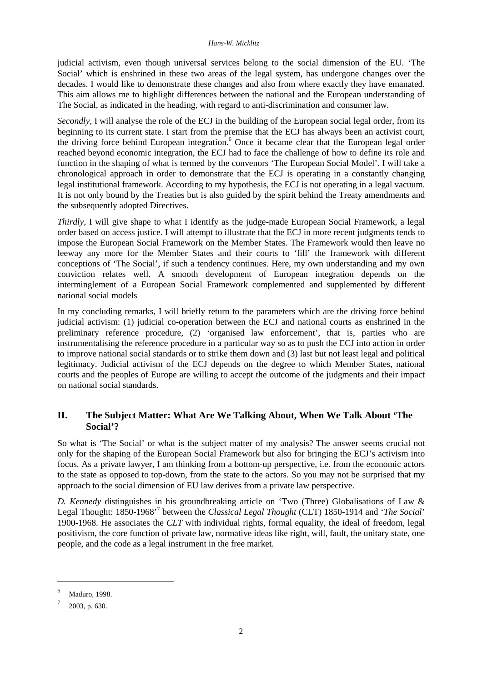judicial activism, even though universal services belong to the social dimension of the EU. 'The Social' which is enshrined in these two areas of the legal system, has undergone changes over the decades. I would like to demonstrate these changes and also from where exactly they have emanated. This aim allows me to highlight differences between the national and the European understanding of The Social, as indicated in the heading, with regard to anti-discrimination and consumer law.

*Secondly,* I will analyse the role of the ECJ in the building of the European social legal order, from its beginning to its current state. I start from the premise that the ECJ has always been an activist court, the driving force behind European integration.<sup>6</sup> Once it became clear that the European legal order reached beyond economic integration, the ECJ had to face the challenge of how to define its role and function in the shaping of what is termed by the convenors 'The European Social Model'. I will take a chronological approach in order to demonstrate that the ECJ is operating in a constantly changing legal institutional framework. According to my hypothesis, the ECJ is not operating in a legal vacuum. It is not only bound by the Treaties but is also guided by the spirit behind the Treaty amendments and the subsequently adopted Directives.

*Thirdly,* I will give shape to what I identify as the judge-made European Social Framework, a legal order based on access justice. I will attempt to illustrate that the ECJ in more recent judgments tends to impose the European Social Framework on the Member States. The Framework would then leave no leeway any more for the Member States and their courts to 'fill' the framework with different conceptions of 'The Social', if such a tendency continues. Here, my own understanding and my own conviction relates well. A smooth development of European integration depends on the interminglement of a European Social Framework complemented and supplemented by different national social models

In my concluding remarks, I will briefly return to the parameters which are the driving force behind judicial activism: (1) judicial co-operation between the ECJ and national courts as enshrined in the preliminary reference procedure, (2) 'organised law enforcement', that is, parties who are instrumentalising the reference procedure in a particular way so as to push the ECJ into action in order to improve national social standards or to strike them down and (3) last but not least legal and political legitimacy. Judicial activism of the ECJ depends on the degree to which Member States, national courts and the peoples of Europe are willing to accept the outcome of the judgments and their impact on national social standards.

## **II. The Subject Matter: What Are We Talking About, When We Talk About 'The Social'?**

So what is 'The Social' or what is the subject matter of my analysis? The answer seems crucial not only for the shaping of the European Social Framework but also for bringing the ECJ's activism into focus. As a private lawyer, I am thinking from a bottom-up perspective, i.e. from the economic actors to the state as opposed to top-down, from the state to the actors. So you may not be surprised that my approach to the social dimension of EU law derives from a private law perspective.

*D. Kennedy* distinguishes in his groundbreaking article on 'Two (Three) Globalisations of Law & Legal Thought: 1850-1968'<sup>7</sup> between the *Classical Legal Thought* (CLT) 1850-1914 and '*The Social*' 1900-1968. He associates the *CLT* with individual rights, formal equality, the ideal of freedom, legal positivism, the core function of private law, normative ideas like right, will, fault, the unitary state, one people, and the code as a legal instrument in the free market.

<sup>6</sup> Maduro, 1998.

<sup>7</sup> 2003, p. 630.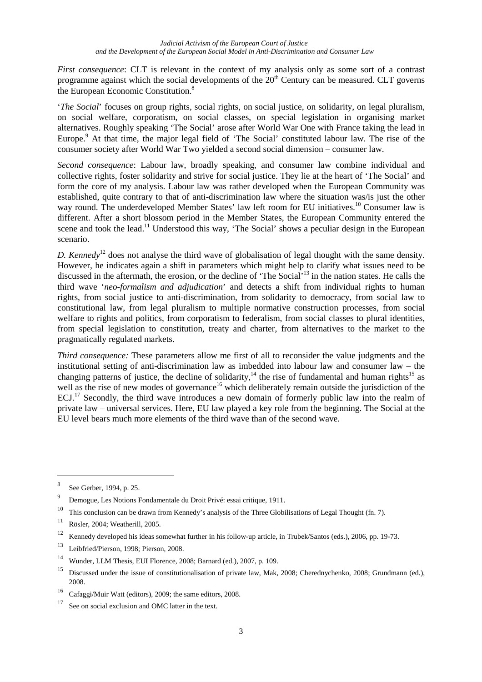*First consequence*: CLT is relevant in the context of my analysis only as some sort of a contrast programme against which the social developments of the  $20<sup>th</sup>$  Century can be measured. CLT governs the European Economic Constitution.<sup>8</sup>

'*The Social*' focuses on group rights, social rights, on social justice, on solidarity, on legal pluralism, on social welfare, corporatism, on social classes, on special legislation in organising market alternatives. Roughly speaking 'The Social' arose after World War One with France taking the lead in Europe.<sup>9</sup> At that time, the major legal field of 'The Social' constituted labour law. The rise of the consumer society after World War Two yielded a second social dimension – consumer law.

*Second consequence*: Labour law, broadly speaking, and consumer law combine individual and collective rights, foster solidarity and strive for social justice. They lie at the heart of 'The Social' and form the core of my analysis. Labour law was rather developed when the European Community was established, quite contrary to that of anti-discrimination law where the situation was/is just the other way round. The underdeveloped Member States' law left room for EU initiatives.<sup>10</sup> Consumer law is different. After a short blossom period in the Member States, the European Community entered the scene and took the lead.<sup>11</sup> Understood this way, 'The Social' shows a peculiar design in the European scenario.

*D. Kennedy*<sup>12</sup> does not analyse the third wave of globalisation of legal thought with the same density. However, he indicates again a shift in parameters which might help to clarify what issues need to be discussed in the aftermath, the erosion, or the decline of 'The Social'<sup>13</sup> in the nation states. He calls the third wave '*neo-formalism and adjudication*' and detects a shift from individual rights to human rights, from social justice to anti-discrimination, from solidarity to democracy, from social law to constitutional law, from legal pluralism to multiple normative construction processes, from social welfare to rights and politics, from corporatism to federalism, from social classes to plural identities, from special legislation to constitution, treaty and charter, from alternatives to the market to the pragmatically regulated markets.

*Third consequence:* These parameters allow me first of all to reconsider the value judgments and the institutional setting of anti-discrimination law as imbedded into labour law and consumer law – the changing patterns of justice, the decline of solidarity, $14$  the rise of fundamental and human rights<sup>15</sup> as well as the rise of new modes of governance<sup>16</sup> which deliberately remain outside the jurisdiction of the ECJ.<sup>17</sup> Secondly, the third wave introduces a new domain of formerly public law into the realm of private law – universal services. Here, EU law played a key role from the beginning. The Social at the EU level bears much more elements of the third wave than of the second wave.

<sup>8</sup> See Gerber, 1994, p. 25.

<sup>9</sup> Demogue, Les Notions Fondamentale du Droit Privé: essai critique, 1911.

<sup>&</sup>lt;sup>10</sup> This conclusion can be drawn from Kennedy's analysis of the Three Globilisations of Legal Thought (fn. 7).

<sup>11</sup> Rösler, 2004; Weatherill, 2005.

<sup>&</sup>lt;sup>12</sup> Kennedy developed his ideas somewhat further in his follow-up article, in Trubek/Santos (eds.), 2006, pp. 19-73.

<sup>13</sup> Leibfried/Pierson, 1998; Pierson, 2008.

<sup>14</sup> Wunder, LLM Thesis, EUI Florence, 2008; Barnard (ed.), 2007, p. 109.

<sup>&</sup>lt;sup>15</sup> Discussed under the issue of constitutionalisation of private law, Mak, 2008; Cherednychenko, 2008; Grundmann (ed.), 2008.

<sup>16</sup> Cafaggi/Muir Watt (editors), 2009; the same editors, 2008.

 $17$  See on social exclusion and OMC latter in the text.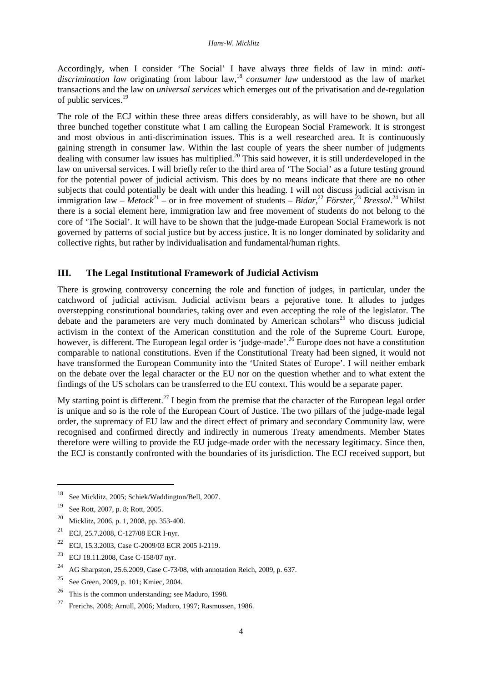Accordingly, when I consider 'The Social' I have always three fields of law in mind: *antidiscrimination law* originating from labour law*,* 18 *consumer law* understood as the law of market transactions and the law on *universal services* which emerges out of the privatisation and de-regulation of public services.<sup>19</sup>

The role of the ECJ within these three areas differs considerably, as will have to be shown, but all three bunched together constitute what I am calling the European Social Framework. It is strongest and most obvious in anti-discrimination issues. This is a well researched area. It is continuously gaining strength in consumer law. Within the last couple of years the sheer number of judgments dealing with consumer law issues has multiplied.<sup>20</sup> This said however, it is still underdeveloped in the law on universal services. I will briefly refer to the third area of 'The Social' as a future testing ground for the potential power of judicial activism. This does by no means indicate that there are no other subjects that could potentially be dealt with under this heading. I will not discuss judicial activism in immigration law – *Metock*<sup>21</sup> – or in free movement of students – *Bidar*,<sup>22</sup> *Förster*,<sup>23</sup> *Bressol*.<sup>24</sup> Whilst there is a social element here, immigration law and free movement of students do not belong to the core of 'The Social'. It will have to be shown that the judge-made European Social Framework is not governed by patterns of social justice but by access justice. It is no longer dominated by solidarity and collective rights, but rather by individualisation and fundamental/human rights.

## **III. The Legal Institutional Framework of Judicial Activism**

There is growing controversy concerning the role and function of judges, in particular, under the catchword of judicial activism. Judicial activism bears a pejorative tone. It alludes to judges overstepping constitutional boundaries, taking over and even accepting the role of the legislator. The debate and the parameters are very much dominated by American scholars<sup>25</sup> who discuss judicial activism in the context of the American constitution and the role of the Supreme Court. Europe, however, is different. The European legal order is 'judge-made'.<sup>26</sup> Europe does not have a constitution comparable to national constitutions. Even if the Constitutional Treaty had been signed, it would not have transformed the European Community into the 'United States of Europe'. I will neither embark on the debate over the legal character or the EU nor on the question whether and to what extent the findings of the US scholars can be transferred to the EU context. This would be a separate paper.

My starting point is different.<sup>27</sup> I begin from the premise that the character of the European legal order is unique and so is the role of the European Court of Justice. The two pillars of the judge-made legal order, the supremacy of EU law and the direct effect of primary and secondary Community law, were recognised and confirmed directly and indirectly in numerous Treaty amendments. Member States therefore were willing to provide the EU judge-made order with the necessary legitimacy. Since then, the ECJ is constantly confronted with the boundaries of its jurisdiction. The ECJ received support, but

<sup>18</sup> See Micklitz, 2005; Schiek/Waddington/Bell, 2007.

<sup>19</sup> See Rott, 2007, p. 8; Rott, 2005.

<sup>&</sup>lt;sup>20</sup> Micklitz, 2006, p. 1, 2008, pp. 353-400.

<sup>21</sup> ECJ, 25.7.2008, C-127/08 ECR I-nyr.

<sup>22</sup> ECJ, 15.3.2003, Case C-2009/03 ECR 2005 I-2119.

<sup>23</sup> ECJ 18.11.2008, Case C-158/07 nyr.

<sup>24</sup> AG Sharpston, 25.6.2009, Case C-73/08, with annotation Reich, 2009, p. 637.

<sup>&</sup>lt;sup>25</sup> See Green, 2009, p. 101; Kmiec, 2004.

<sup>&</sup>lt;sup>26</sup> This is the common understanding; see Maduro, 1998.

<sup>27</sup> Frerichs, 2008; Arnull, 2006; Maduro, 1997; Rasmussen, 1986.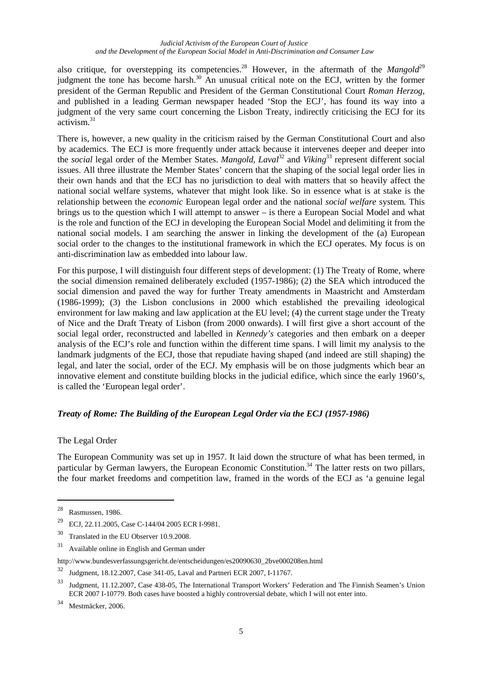also critique, for overstepping its competencies.<sup>28</sup> However, in the aftermath of the *Mangold*<sup>29</sup> judgment the tone has become harsh.<sup>30</sup> An unusual critical note on the ECJ, written by the former president of the German Republic and President of the German Constitutional Court *Roman Herzog,* and published in a leading German newspaper headed 'Stop the ECJ', has found its way into a judgment of the very same court concerning the Lisbon Treaty, indirectly criticising the ECJ for its  $\arctan^{31}$ 

There is, however, a new quality in the criticism raised by the German Constitutional Court and also by academics. The ECJ is more frequently under attack because it intervenes deeper and deeper into the *social* legal order of the Member States. *Mangold*, *Laval*<sup>32</sup> and *Viking*<sup>33</sup> represent different social issues. All three illustrate the Member States' concern that the shaping of the social legal order lies in their own hands and that the ECJ has no jurisdiction to deal with matters that so heavily affect the national social welfare systems, whatever that might look like. So in essence what is at stake is the relationship between the *economic* European legal order and the national *social welfare* system. This brings us to the question which I will attempt to answer – is there a European Social Model and what is the role and function of the ECJ in developing the European Social Model and delimiting it from the national social models. I am searching the answer in linking the development of the (a) European social order to the changes to the institutional framework in which the ECJ operates. My focus is on anti-discrimination law as embedded into labour law.

For this purpose, I will distinguish four different steps of development: (1) The Treaty of Rome, where the social dimension remained deliberately excluded (1957-1986); (2) the SEA which introduced the social dimension and paved the way for further Treaty amendments in Maastricht and Amsterdam (1986-1999); (3) the Lisbon conclusions in 2000 which established the prevailing ideological environment for law making and law application at the EU level; (4) the current stage under the Treaty of Nice and the Draft Treaty of Lisbon (from 2000 onwards). I will first give a short account of the social legal order, reconstructed and labelled in *Kennedy's* categories and then embark on a deeper analysis of the ECJ's role and function within the different time spans. I will limit my analysis to the landmark judgments of the ECJ, those that repudiate having shaped (and indeed are still shaping) the legal, and later the social, order of the ECJ. My emphasis will be on those judgments which bear an innovative element and constitute building blocks in the judicial edifice, which since the early 1960's, is called the 'European legal order'.

## *Treaty of Rome: The Building of the European Legal Order via the ECJ (1957-1986)*

## The Legal Order

The European Community was set up in 1957. It laid down the structure of what has been termed, in particular by German lawyers, the European Economic Constitution.<sup>34</sup> The latter rests on two pillars, the four market freedoms and competition law, framed in the words of the ECJ as 'a genuine legal

 $\overline{a}$ 

#### http://www.bundesverfassungsgericht.de/entscheidungen/es20090630\_2bve000208en.html

<sup>28</sup> Rasmussen, 1986.

<sup>29</sup> ECJ, 22.11.2005, Case C-144/04 2005 ECR I-9981.

<sup>30</sup> Translated in the EU Observer 10.9.2008.

<sup>31</sup> Available online in English and German under

<sup>32</sup> Judgment, 18.12.2007, Case 341-05, Laval and Partneri ECR 2007, I-11767.

<sup>33</sup> Judgment, 11.12.2007, Case 438-05, The International Transport Workers' Federation and The Finnish Seamen's Union ECR 2007 I-10779. Both cases have boosted a highly controversial debate, which I will not enter into.

<sup>34</sup> Mestmäcker, 2006.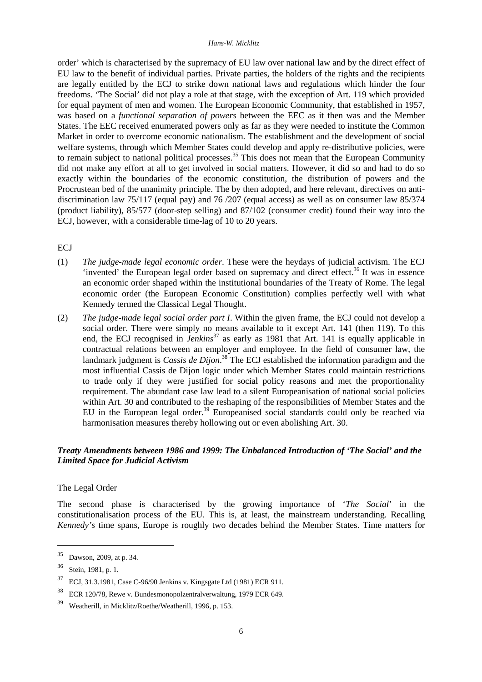#### *Hans-W. Micklitz*

order' which is characterised by the supremacy of EU law over national law and by the direct effect of EU law to the benefit of individual parties. Private parties, the holders of the rights and the recipients are legally entitled by the ECJ to strike down national laws and regulations which hinder the four freedoms. 'The Social' did not play a role at that stage, with the exception of Art. 119 which provided for equal payment of men and women. The European Economic Community, that established in 1957, was based on a *functional separation of powers* between the EEC as it then was and the Member States. The EEC received enumerated powers only as far as they were needed to institute the Common Market in order to overcome economic nationalism. The establishment and the development of social welfare systems, through which Member States could develop and apply re-distributive policies, were to remain subject to national political processes.<sup>35</sup> This does not mean that the European Community did not make any effort at all to get involved in social matters. However, it did so and had to do so exactly within the boundaries of the economic constitution, the distribution of powers and the Procrustean bed of the unanimity principle. The by then adopted, and here relevant, directives on antidiscrimination law 75/117 (equal pay) and 76 /207 (equal access) as well as on consumer law 85/374 (product liability), 85/577 (door-step selling) and 87/102 (consumer credit) found their way into the ECJ, however, with a considerable time-lag of 10 to 20 years.

#### ECJ

- (1) *The judge-made legal economic order*. These were the heydays of judicial activism. The ECJ 'invented' the European legal order based on supremacy and direct effect.<sup>36</sup> It was in essence an economic order shaped within the institutional boundaries of the Treaty of Rome. The legal economic order (the European Economic Constitution) complies perfectly well with what Kennedy termed the Classical Legal Thought.
- (2) *The judge-made legal social order part I*. Within the given frame, the ECJ could not develop a social order. There were simply no means available to it except Art. 141 (then 119). To this end, the ECJ recognised in *Jenkins*<sup>37</sup> as early as 1981 that Art. 141 is equally applicable in contractual relations between an employer and employee. In the field of consumer law, the landmark judgment is *Cassis de Dijon*. <sup>38</sup> The ECJ established the information paradigm and the most influential Cassis de Dijon logic under which Member States could maintain restrictions to trade only if they were justified for social policy reasons and met the proportionality requirement. The abundant case law lead to a silent Europeanisation of national social policies within Art. 30 and contributed to the reshaping of the responsibilities of Member States and the EU in the European legal order.<sup>39</sup> Europeanised social standards could only be reached via harmonisation measures thereby hollowing out or even abolishing Art. 30.

## *Treaty Amendments between 1986 and 1999: The Unbalanced Introduction of 'The Social' and the Limited Space for Judicial Activism*

The Legal Order

The second phase is characterised by the growing importance of '*The Social*' in the constitutionalisation process of the EU. This is, at least, the mainstream understanding. Recalling *Kennedy's* time spans, Europe is roughly two decades behind the Member States. Time matters for

<sup>35</sup> Dawson, 2009, at p. 34.

<sup>36</sup> Stein, 1981, p. 1.

<sup>37</sup> ECJ, 31.3.1981, Case C-96/90 Jenkins v. Kingsgate Ltd (1981) ECR 911.

<sup>38</sup> ECR 120/78, Rewe v. Bundesmonopolzentralverwaltung, 1979 ECR 649.

<sup>39</sup> Weatherill, in Micklitz/Roethe/Weatherill, 1996, p. 153.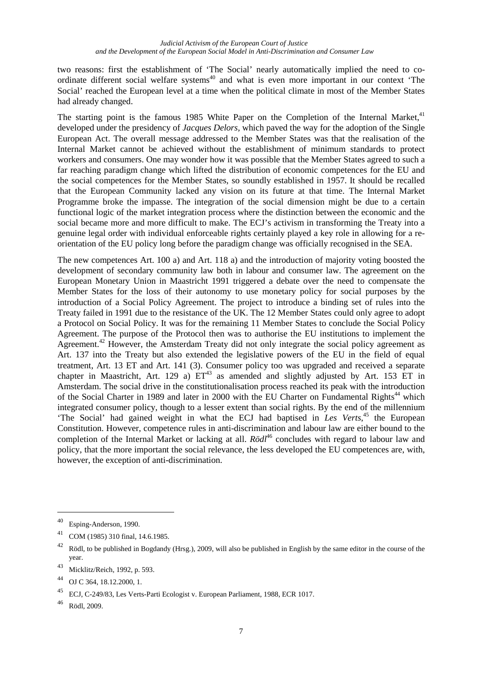two reasons: first the establishment of 'The Social' nearly automatically implied the need to coordinate different social welfare systems<sup>40</sup> and what is even more important in our context 'The Social' reached the European level at a time when the political climate in most of the Member States had already changed.

The starting point is the famous 1985 White Paper on the Completion of the Internal Market, $41$ developed under the presidency of *Jacques Delors,* which paved the way for the adoption of the Single European Act. The overall message addressed to the Member States was that the realisation of the Internal Market cannot be achieved without the establishment of minimum standards to protect workers and consumers. One may wonder how it was possible that the Member States agreed to such a far reaching paradigm change which lifted the distribution of economic competences for the EU and the social competences for the Member States, so soundly established in 1957. It should be recalled that the European Community lacked any vision on its future at that time. The Internal Market Programme broke the impasse. The integration of the social dimension might be due to a certain functional logic of the market integration process where the distinction between the economic and the social became more and more difficult to make. The ECJ's activism in transforming the Treaty into a genuine legal order with individual enforceable rights certainly played a key role in allowing for a reorientation of the EU policy long before the paradigm change was officially recognised in the SEA.

The new competences Art. 100 a) and Art. 118 a) and the introduction of majority voting boosted the development of secondary community law both in labour and consumer law. The agreement on the European Monetary Union in Maastricht 1991 triggered a debate over the need to compensate the Member States for the loss of their autonomy to use monetary policy for social purposes by the introduction of a Social Policy Agreement. The project to introduce a binding set of rules into the Treaty failed in 1991 due to the resistance of the UK. The 12 Member States could only agree to adopt a Protocol on Social Policy. It was for the remaining 11 Member States to conclude the Social Policy Agreement. The purpose of the Protocol then was to authorise the EU institutions to implement the Agreement.<sup>42</sup> However, the Amsterdam Treaty did not only integrate the social policy agreement as Art. 137 into the Treaty but also extended the legislative powers of the EU in the field of equal treatment, Art. 13 ET and Art. 141 (3). Consumer policy too was upgraded and received a separate chapter in Maastricht, Art. 129 a)  $ET^{43}$  as amended and slightly adjusted by Art. 153 ET in Amsterdam. The social drive in the constitutionalisation process reached its peak with the introduction of the Social Charter in 1989 and later in 2000 with the EU Charter on Fundamental Rights<sup>44</sup> which integrated consumer policy, though to a lesser extent than social rights. By the end of the millennium 'The Social' had gained weight in what the ECJ had baptised in *Les Verts*,<sup>45</sup> the European Constitution. However, competence rules in anti-discrimination and labour law are either bound to the completion of the Internal Market or lacking at all. *Rödl*<sup>46</sup> concludes with regard to labour law and policy, that the more important the social relevance, the less developed the EU competences are, with, however, the exception of anti-discrimination.

<sup>40</sup> Esping-Anderson, 1990.

<sup>41</sup> COM (1985) 310 final, 14.6.1985.

 $42$  Rödl, to be published in Bogdandy (Hrsg.), 2009, will also be published in English by the same editor in the course of the year.

<sup>43</sup> Micklitz/Reich, 1992, p. 593.

<sup>44</sup> OJ C 364, 18.12.2000, 1.

<sup>45</sup> ECJ, C-249/83, Les Verts-Parti Ecologist v. European Parliament, 1988, ECR 1017.

<sup>46</sup> Rödl, 2009.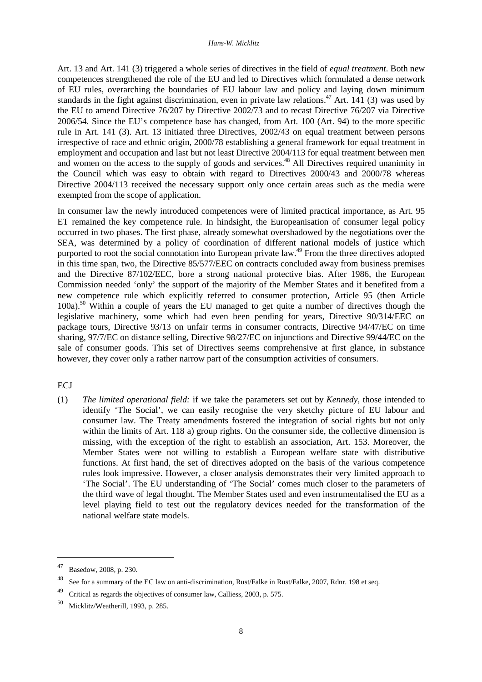#### *Hans-W. Micklitz*

Art. 13 and Art. 141 (3) triggered a whole series of directives in the field of *equal treatment*. Both new competences strengthened the role of the EU and led to Directives which formulated a dense network of EU rules, overarching the boundaries of EU labour law and policy and laying down minimum standards in the fight against discrimination, even in private law relations.<sup>47</sup> Art. 141 (3) was used by the EU to amend Directive 76/207 by Directive 2002/73 and to recast Directive 76/207 via Directive 2006/54. Since the EU's competence base has changed, from Art. 100 (Art. 94) to the more specific rule in Art. 141 (3). Art. 13 initiated three Directives, 2002/43 on equal treatment between persons irrespective of race and ethnic origin, 2000/78 establishing a general framework for equal treatment in employment and occupation and last but not least Directive 2004/113 for equal treatment between men and women on the access to the supply of goods and services.<sup>48</sup> All Directives required unanimity in the Council which was easy to obtain with regard to Directives 2000/43 and 2000/78 whereas Directive 2004/113 received the necessary support only once certain areas such as the media were exempted from the scope of application.

In consumer law the newly introduced competences were of limited practical importance, as Art. 95 ET remained the key competence rule. In hindsight, the Europeanisation of consumer legal policy occurred in two phases. The first phase, already somewhat overshadowed by the negotiations over the SEA, was determined by a policy of coordination of different national models of justice which purported to root the social connotation into European private law.<sup>49</sup> From the three directives adopted in this time span, two, the Directive 85/577/EEC on contracts concluded away from business premises and the Directive 87/102/EEC, bore a strong national protective bias. After 1986, the European Commission needed 'only' the support of the majority of the Member States and it benefited from a new competence rule which explicitly referred to consumer protection, Article 95 (then Article 100a).<sup>50</sup> Within a couple of years the EU managed to get quite a number of directives though the legislative machinery, some which had even been pending for years, Directive 90/314/EEC on package tours, Directive 93/13 on unfair terms in consumer contracts, Directive 94/47/EC on time sharing, 97/7/EC on distance selling, Directive 98/27/EC on injunctions and Directive 99/44/EC on the sale of consumer goods. This set of Directives seems comprehensive at first glance, in substance however, they cover only a rather narrow part of the consumption activities of consumers.

## ECJ

 $\overline{a}$ 

(1) *The limited operational field:* if we take the parameters set out by *Kennedy,* those intended to identify 'The Social', we can easily recognise the very sketchy picture of EU labour and consumer law. The Treaty amendments fostered the integration of social rights but not only within the limits of Art. 118 a) group rights. On the consumer side, the collective dimension is missing, with the exception of the right to establish an association, Art. 153. Moreover, the Member States were not willing to establish a European welfare state with distributive functions. At first hand, the set of directives adopted on the basis of the various competence rules look impressive. However, a closer analysis demonstrates their very limited approach to 'The Social'. The EU understanding of 'The Social' comes much closer to the parameters of the third wave of legal thought. The Member States used and even instrumentalised the EU as a level playing field to test out the regulatory devices needed for the transformation of the national welfare state models.

<sup>47</sup> Basedow, 2008, p. 230.

See for a summary of the EC law on anti-discrimination, Rust/Falke in Rust/Falke, 2007, Rdnr. 198 et seq.

 $^{49}$  Critical as regards the objectives of consumer law, Calliess, 2003, p. 575.

<sup>50</sup> Micklitz/Weatherill, 1993, p. 285.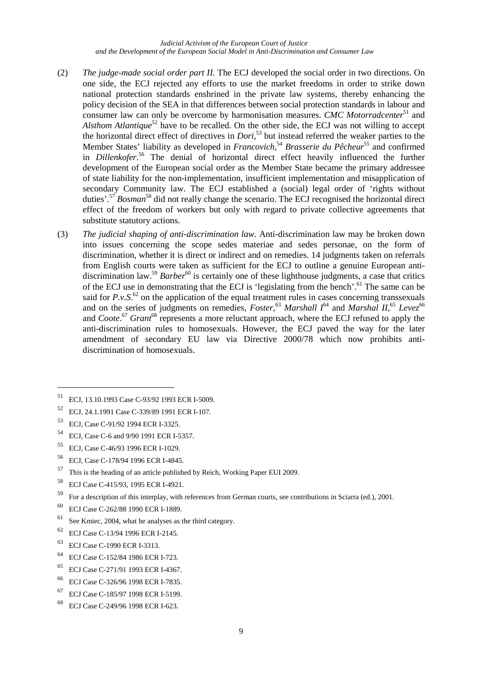*Judicial Activism of the European Court of Justice and the Development of the European Social Model in Anti-Discrimination and Consumer Law* 

- (2) *The judge-made social order part II.* The ECJ developed the social order in two directions. On one side, the ECJ rejected any efforts to use the market freedoms in order to strike down national protection standards enshrined in the private law systems, thereby enhancing the policy decision of the SEA in that differences between social protection standards in labour and consumer law can only be overcome by harmonisation measures. *CMC Motorradcenter*<sup>51</sup> and *Alsthom Atlantique*<sup>52</sup> have to be recalled. On the other side, the ECJ was not willing to accept the horizontal direct effect of directives in *Dori*, <sup>53</sup> but instead referred the weaker parties to the Member States' liability as developed in *Francovich*, <sup>54</sup> *Brasserie du Pêcheur*<sup>55</sup> and confirmed in *Dillenkofer*. <sup>56</sup> The denial of horizontal direct effect heavily influenced the further development of the European social order as the Member State became the primary addressee of state liability for the non-implementation, insufficient implementation and misapplication of secondary Community law. The ECJ established a (social) legal order of 'rights without duties'.<sup>57</sup> *Bosman*<sup>58</sup> did not really change the scenario. The ECJ recognised the horizontal direct effect of the freedom of workers but only with regard to private collective agreements that substitute statutory actions.
- (3) *The judicial shaping of anti-discrimination law*. Anti-discrimination law may be broken down into issues concerning the scope sedes materiae and sedes personae, on the form of discrimination, whether it is direct or indirect and on remedies. 14 judgments taken on referrals from English courts were taken as sufficient for the ECJ to outline a genuine European antidiscrimination law.<sup>59</sup> *Barber*<sup>60</sup> is certainly one of these lighthouse judgments, a case that critics of the ECJ use in demonstrating that the ECJ is 'legislating from the bench'.<sup>61</sup> The same can be said for  $P.v.S.<sup>62</sup>$  on the application of the equal treatment rules in cases concerning transsexuals and on the series of judgments on remedies, *Foster*,<sup>63</sup> *Marshall*  $I<sup>64</sup>$  and *Marshal*  $II$ ,<sup>65</sup>, Levez<sup>66</sup> and *Coote*.<sup>67</sup> *Grant*<sup>68</sup> represents a more reluctant approach, where the ECJ refused to apply the anti-discrimination rules to homosexuals. However, the ECJ paved the way for the later amendment of secondary EU law via Directive 2000/78 which now prohibits antidiscrimination of homosexuals.

<sup>52</sup> ECJ, 24.1.1991 Case C-339/89 1991 ECR I-107.

- <sup>54</sup> ECJ, Case C-6 and 9/90 1991 ECR I-5357.
- <sup>55</sup> ECJ, Case C-46/93 1996 ECR I-1029.
- <sup>56</sup> ECJ, Case C-178/94 1996 ECR I-4845.
- <sup>57</sup> This is the heading of an article published by Reich, Working Paper EUI 2009.
- <sup>58</sup> ECJ Case C-415/93, 1995 ECR I-4921.
- $^{59}$  For a description of this interplay, with references from German courts, see contributions in Sciarra (ed.), 2001.
- <sup>60</sup> ECJ Case C-262/88 1990 ECR I-1889.
- <sup>61</sup> See Kmiec, 2004, what he analyses as the third category.
- <sup>62</sup> ECJ Case C-13/94 1996 ECR I-2145.
- <sup>63</sup> ECJ Case C-1990 ECR I-3313.
- <sup>64</sup> ECJ Case C-152/84 1986 ECR I-723.
- <sup>65</sup> ECJ Case C-271/91 1993 ECR I-4367.
- <sup>66</sup> ECJ Case C-326/96 1998 ECR I-7835.
- <sup>67</sup> ECJ Case C-185/97 1998 ECR I-5199.
- <sup>68</sup> ECJ Case C-249/96 1998 ECR I-623.

<sup>51</sup> ECJ, 13.10.1993 Case C-93/92 1993 ECR I-5009.

<sup>53</sup> ECJ, Case C-91/92 1994 ECR I-3325.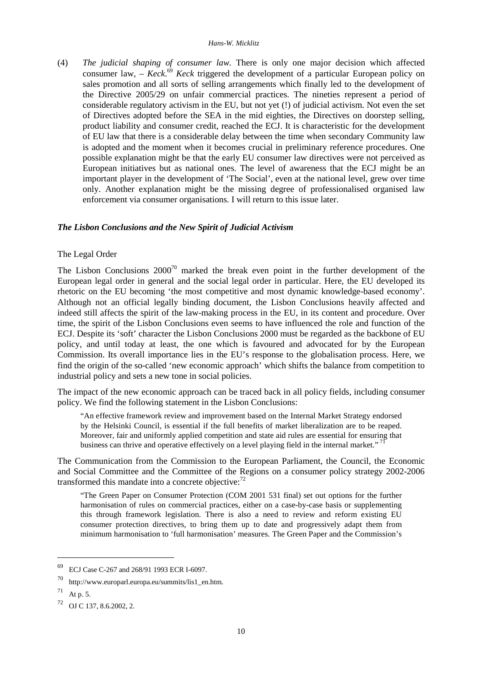#### *Hans-W. Micklitz*

(4) *The judicial shaping of consumer law.* There is only one major decision which affected consumer law, – *Keck*. <sup>69</sup> *Keck* triggered the development of a particular European policy on sales promotion and all sorts of selling arrangements which finally led to the development of the Directive 2005/29 on unfair commercial practices. The nineties represent a period of considerable regulatory activism in the EU, but not yet (!) of judicial activism. Not even the set of Directives adopted before the SEA in the mid eighties, the Directives on doorstep selling, product liability and consumer credit, reached the ECJ. It is characteristic for the development of EU law that there is a considerable delay between the time when secondary Community law is adopted and the moment when it becomes crucial in preliminary reference procedures. One possible explanation might be that the early EU consumer law directives were not perceived as European initiatives but as national ones. The level of awareness that the ECJ might be an important player in the development of 'The Social', even at the national level, grew over time only. Another explanation might be the missing degree of professionalised organised law enforcement via consumer organisations*.* I will return to this issue later.

#### *The Lisbon Conclusions and the New Spirit of Judicial Activism*

#### The Legal Order

The Lisbon Conclusions  $2000^{70}$  marked the break even point in the further development of the European legal order in general and the social legal order in particular. Here, the EU developed its rhetoric on the EU becoming 'the most competitive and most dynamic knowledge-based economy'. Although not an official legally binding document, the Lisbon Conclusions heavily affected and indeed still affects the spirit of the law-making process in the EU, in its content and procedure. Over time, the spirit of the Lisbon Conclusions even seems to have influenced the role and function of the ECJ. Despite its 'soft' character the Lisbon Conclusions 2000 must be regarded as the backbone of EU policy, and until today at least, the one which is favoured and advocated for by the European Commission. Its overall importance lies in the EU's response to the globalisation process. Here, we find the origin of the so-called 'new economic approach' which shifts the balance from competition to industrial policy and sets a new tone in social policies.

The impact of the new economic approach can be traced back in all policy fields, including consumer policy. We find the following statement in the Lisbon Conclusions:

"An effective framework review and improvement based on the Internal Market Strategy endorsed by the Helsinki Council, is essential if the full benefits of market liberalization are to be reaped. Moreover, fair and uniformly applied competition and state aid rules are essential for ensuring that business can thrive and operative effectively on a level playing field in the internal market."<sup>7</sup>

The Communication from the Commission to the European Parliament, the Council, the Economic and Social Committee and the Committee of the Regions on a consumer policy strategy 2002-2006 transformed this mandate into a concrete objective: $72$ 

"The Green Paper on Consumer Protection (COM 2001 531 final) set out options for the further harmonisation of rules on commercial practices, either on a case-by-case basis or supplementing this through framework legislation. There is also a need to review and reform existing EU consumer protection directives, to bring them up to date and progressively adapt them from minimum harmonisation to 'full harmonisation' measures. The Green Paper and the Commission's

<sup>69</sup> ECJ Case C-267 and 268/91 1993 ECR I-6097.

<sup>70</sup> http://www.europarl.europa.eu/summits/lis1\_en.htm.

 $71$  At p. 5.

 $^{72}$  OJ C 137, 8.6.2002, 2.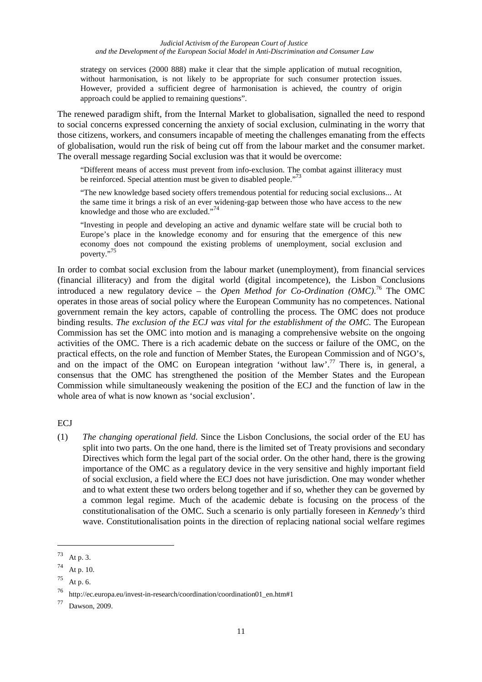strategy on services (2000 888) make it clear that the simple application of mutual recognition, without harmonisation, is not likely to be appropriate for such consumer protection issues. However, provided a sufficient degree of harmonisation is achieved, the country of origin approach could be applied to remaining questions".

The renewed paradigm shift, from the Internal Market to globalisation, signalled the need to respond to social concerns expressed concerning the anxiety of social exclusion, culminating in the worry that those citizens, workers, and consumers incapable of meeting the challenges emanating from the effects of globalisation, would run the risk of being cut off from the labour market and the consumer market. The overall message regarding Social exclusion was that it would be overcome:

"Different means of access must prevent from info-exclusion. The combat against illiteracy must be reinforced. Special attention must be given to disabled people."<sup>73</sup>

"The new knowledge based society offers tremendous potential for reducing social exclusions... At the same time it brings a risk of an ever widening-gap between those who have access to the new knowledge and those who are excluded."<sup>74</sup>

"Investing in people and developing an active and dynamic welfare state will be crucial both to Europe's place in the knowledge economy and for ensuring that the emergence of this new economy does not compound the existing problems of unemployment, social exclusion and poverty."<sup>75</sup>

In order to combat social exclusion from the labour market (unemployment), from financial services (financial illiteracy) and from the digital world (digital incompetence), the Lisbon Conclusions introduced a new regulatory device – the *Open Method for Co-Ordination (OMC)*. <sup>76</sup> The OMC operates in those areas of social policy where the European Community has no competences. National government remain the key actors, capable of controlling the process. The OMC does not produce binding results. *The exclusion of the ECJ was vital for the establishment of the OMC*. The European Commission has set the OMC into motion and is managing a comprehensive website on the ongoing activities of the OMC. There is a rich academic debate on the success or failure of the OMC, on the practical effects, on the role and function of Member States, the European Commission and of NGO's, and on the impact of the OMC on European integration 'without law'.<sup>77</sup> There is, in general, a consensus that the OMC has strengthened the position of the Member States and the European Commission while simultaneously weakening the position of the ECJ and the function of law in the whole area of what is now known as 'social exclusion'.

## **ECJ**

(1) *The changing operational field.* Since the Lisbon Conclusions, the social order of the EU has split into two parts. On the one hand, there is the limited set of Treaty provisions and secondary Directives which form the legal part of the social order. On the other hand, there is the growing importance of the OMC as a regulatory device in the very sensitive and highly important field of social exclusion, a field where the ECJ does not have jurisdiction. One may wonder whether and to what extent these two orders belong together and if so, whether they can be governed by a common legal regime. Much of the academic debate is focusing on the process of the constitutionalisation of the OMC. Such a scenario is only partially foreseen in *Kennedy's* third wave. Constitutionalisation points in the direction of replacing national social welfare regimes

 $73$  At p. 3.

 $^{74}$  At p. 10.

 $^{75}$  At p. 6.

<sup>76</sup> http://ec.europa.eu/invest-in-research/coordination/coordination01\_en.htm#1

 $^{77}$  Dawson, 2009.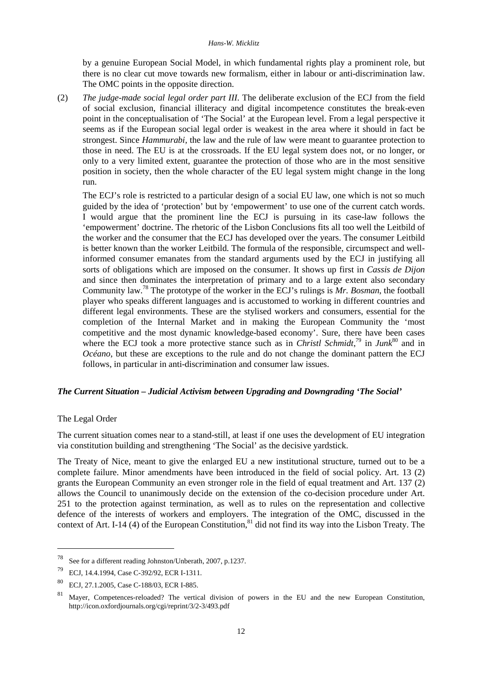by a genuine European Social Model, in which fundamental rights play a prominent role, but there is no clear cut move towards new formalism, either in labour or anti-discrimination law. The OMC points in the opposite direction.

(2) *The judge-made social legal order part III.* The deliberate exclusion of the ECJ from the field of social exclusion, financial illiteracy and digital incompetence constitutes the break-even point in the conceptualisation of 'The Social' at the European level. From a legal perspective it seems as if the European social legal order is weakest in the area where it should in fact be strongest. Since *Hammurabi,* the law and the rule of law were meant to guarantee protection to those in need. The EU is at the crossroads. If the EU legal system does not, or no longer, or only to a very limited extent, guarantee the protection of those who are in the most sensitive position in society, then the whole character of the EU legal system might change in the long run.

 The ECJ's role is restricted to a particular design of a social EU law, one which is not so much guided by the idea of 'protection' but by 'empowerment' to use one of the current catch words. I would argue that the prominent line the ECJ is pursuing in its case-law follows the 'empowerment' doctrine. The rhetoric of the Lisbon Conclusions fits all too well the Leitbild of the worker and the consumer that the ECJ has developed over the years. The consumer Leitbild is better known than the worker Leitbild. The formula of the responsible, circumspect and wellinformed consumer emanates from the standard arguments used by the ECJ in justifying all sorts of obligations which are imposed on the consumer. It shows up first in *Cassis de Dijon* and since then dominates the interpretation of primary and to a large extent also secondary Community law.<sup>78</sup> The prototype of the worker in the ECJ's rulings is *Mr. Bosman*, the football player who speaks different languages and is accustomed to working in different countries and different legal environments. These are the stylised workers and consumers, essential for the completion of the Internal Market and in making the European Community the 'most competitive and the most dynamic knowledge-based economy'. Sure, there have been cases where the ECJ took a more protective stance such as in *Christl Schmidt*,<sup>79</sup> in *Junk*<sup>80</sup> and in *Océano*, but these are exceptions to the rule and do not change the dominant pattern the ECJ follows, in particular in anti-discrimination and consumer law issues.

## *The Current Situation – Judicial Activism between Upgrading and Downgrading 'The Social'*

#### The Legal Order

 $\overline{a}$ 

The current situation comes near to a stand-still, at least if one uses the development of EU integration via constitution building and strengthening 'The Social' as the decisive yardstick.

The Treaty of Nice, meant to give the enlarged EU a new institutional structure, turned out to be a complete failure. Minor amendments have been introduced in the field of social policy. Art. 13 (2) grants the European Community an even stronger role in the field of equal treatment and Art. 137 (2) allows the Council to unanimously decide on the extension of the co-decision procedure under Art. 251 to the protection against termination, as well as to rules on the representation and collective defence of the interests of workers and employers. The integration of the OMC, discussed in the context of Art. I-14 (4) of the European Constitution, $81$  did not find its way into the Lisbon Treaty. The

<sup>78</sup> See for a different reading Johnston/Unberath, 2007, p.1237.

<sup>79</sup> ECJ, 14.4.1994, Case C-392/92, ECR I-1311.

<sup>80</sup> ECJ, 27.1.2005, Case C-188/03, ECR I-885.

<sup>81</sup> Mayer, Competences-reloaded? The vertical division of powers in the EU and the new European Constitution, http://icon.oxfordjournals.org/cgi/reprint/3/2-3/493.pdf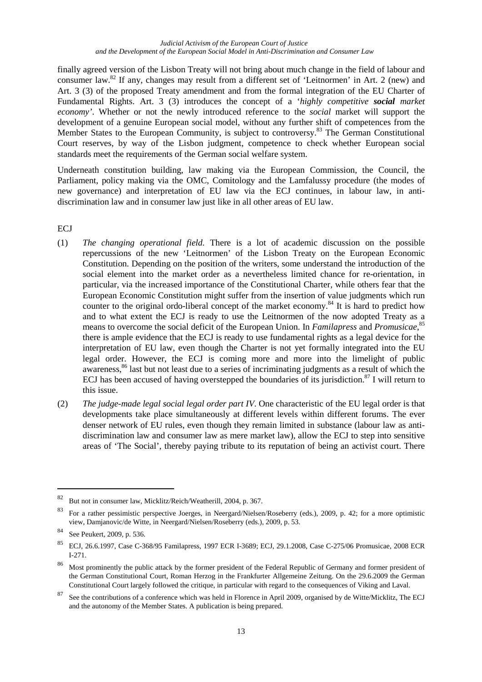finally agreed version of the Lisbon Treaty will not bring about much change in the field of labour and consumer law.<sup>82</sup> If any, changes may result from a different set of 'Leitnormen' in Art. 2 (new) and Art. 3 (3) of the proposed Treaty amendment and from the formal integration of the EU Charter of Fundamental Rights. Art. 3 (3) introduces the concept of a '*highly competitive social market economy'*. Whether or not the newly introduced reference to the *social* market will support the development of a genuine European social model, without any further shift of competences from the Member States to the European Community, is subject to controversy.<sup>83</sup> The German Constitutional Court reserves, by way of the Lisbon judgment, competence to check whether European social standards meet the requirements of the German social welfare system.

Underneath constitution building, law making via the European Commission, the Council, the Parliament, policy making via the OMC, Comitology and the Lamfalussy procedure (the modes of new governance) and interpretation of EU law via the ECJ continues, in labour law, in antidiscrimination law and in consumer law just like in all other areas of EU law.

## ECJ

- (1) *The changing operational field.* There is a lot of academic discussion on the possible repercussions of the new 'Leitnormen' of the Lisbon Treaty on the European Economic Constitution. Depending on the position of the writers, some understand the introduction of the social element into the market order as a nevertheless limited chance for re-orientation, in particular, via the increased importance of the Constitutional Charter, while others fear that the European Economic Constitution might suffer from the insertion of value judgments which run counter to the original ordo-liberal concept of the market economy.<sup>84</sup> It is hard to predict how and to what extent the ECJ is ready to use the Leitnormen of the now adopted Treaty as a means to overcome the social deficit of the European Union. In *Familapress* and *Promusicae*, 85 there is ample evidence that the ECJ is ready to use fundamental rights as a legal device for the interpretation of EU law, even though the Charter is not yet formally integrated into the EU legal order. However, the ECJ is coming more and more into the limelight of public awareness,<sup>86</sup> last but not least due to a series of incriminating judgments as a result of which the ECJ has been accused of having overstepped the boundaries of its jurisdiction. $87$  I will return to this issue.
- (2) *The judge-made legal social legal order part IV*. One characteristic of the EU legal order is that developments take place simultaneously at different levels within different forums. The ever denser network of EU rules, even though they remain limited in substance (labour law as antidiscrimination law and consumer law as mere market law), allow the ECJ to step into sensitive areas of 'The Social', thereby paying tribute to its reputation of being an activist court. There

l

<sup>82</sup> But not in consumer law, Micklitz/Reich/Weatherill, 2004, p. 367.

<sup>83</sup> For a rather pessimistic perspective Joerges, in Neergard/Nielsen/Roseberry (eds.), 2009, p. 42; for a more optimistic view, Damjanovic/de Witte, in Neergard/Nielsen/Roseberry (eds.), 2009, p. 53.

<sup>84</sup> See Peukert, 2009, p. 536.

<sup>85</sup> ECJ, 26.6.1997, Case C-368/95 Familapress, 1997 ECR I-3689; ECJ, 29.1.2008, Case C-275/06 Promusicae, 2008 ECR I-271.

<sup>86</sup> Most prominently the public attack by the former president of the Federal Republic of Germany and former president of the German Constitutional Court, Roman Herzog in the Frankfurter Allgemeine Zeitung. On the 29.6.2009 the German Constitutional Court largely followed the critique, in particular with regard to the consequences of Viking and Laval.

<sup>87</sup> See the contributions of a conference which was held in Florence in April 2009, organised by de Witte/Micklitz, The ECJ and the autonomy of the Member States. A publication is being prepared.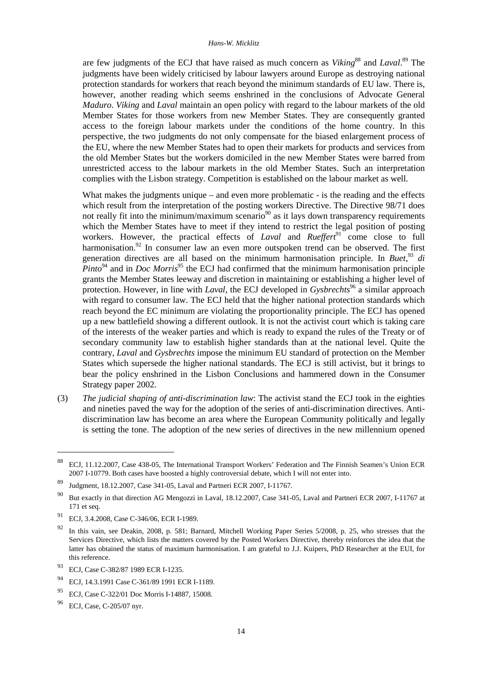are few judgments of the ECJ that have raised as much concern as *Viking*<sup>88</sup> and *Laval*. <sup>89</sup> The judgments have been widely criticised by labour lawyers around Europe as destroying national protection standards for workers that reach beyond the minimum standards of EU law. There is, however, another reading which seems enshrined in the conclusions of Advocate General *Maduro*. *Viking* and *Laval* maintain an open policy with regard to the labour markets of the old Member States for those workers from new Member States. They are consequently granted access to the foreign labour markets under the conditions of the home country. In this perspective, the two judgments do not only compensate for the biased enlargement process of the EU, where the new Member States had to open their markets for products and services from the old Member States but the workers domiciled in the new Member States were barred from unrestricted access to the labour markets in the old Member States. Such an interpretation complies with the Lisbon strategy. Competition is established on the labour market as well.

What makes the judgments unique – and even more problematic - is the reading and the effects which result from the interpretation of the posting workers Directive. The Directive 98/71 does not really fit into the minimum/maximum scenario<sup>90</sup> as it lays down transparency requirements which the Member States have to meet if they intend to restrict the legal position of posting workers. However, the practical effects of *Laval* and *Rueffert*<sup>91</sup> come close to full harmonisation.<sup>92</sup> In consumer law an even more outspoken trend can be observed. The first generation directives are all based on the minimum harmonisation principle. In *Buet*, <sup>93</sup> *di*  $\overline{P}$ *Pinto*<sup>94</sup> and in *Doc Morris*<sup>95</sup> the ECJ had confirmed that the minimum harmonisation principle grants the Member States leeway and discretion in maintaining or establishing a higher level of protection. However, in line with *Laval*, the ECJ developed in *Gysbrechts*<sup>96</sup> a similar approach with regard to consumer law. The ECJ held that the higher national protection standards which reach beyond the EC minimum are violating the proportionality principle. The ECJ has opened up a new battlefield showing a different outlook. It is not the activist court which is taking care of the interests of the weaker parties and which is ready to expand the rules of the Treaty or of secondary community law to establish higher standards than at the national level. Quite the contrary, *Laval* and *Gysbrechts* impose the minimum EU standard of protection on the Member States which supersede the higher national standards. The ECJ is still activist, but it brings to bear the policy enshrined in the Lisbon Conclusions and hammered down in the Consumer Strategy paper 2002.

(3) *The judicial shaping of anti-discrimination law*: The activist stand the ECJ took in the eighties and nineties paved the way for the adoption of the series of anti-discrimination directives. Antidiscrimination law has become an area where the European Community politically and legally is setting the tone. The adoption of the new series of directives in the new millennium opened

l

<sup>88</sup> ECJ, 11.12.2007, Case 438-05, The International Transport Workers' Federation and The Finnish Seamen's Union ECR 2007 I-10779. Both cases have boosted a highly controversial debate, which I will not enter into.

<sup>89</sup> Judgment, 18.12.2007, Case 341-05, Laval and Partneri ECR 2007, I-11767.

<sup>90</sup> But exactly in that direction AG Mengozzi in Laval, 18.12.2007, Case 341-05, Laval and Partneri ECR 2007, I-11767 at 171 et seq.

ECJ, 3.4.2008, Case C-346/06, ECR I-1989.

<sup>92</sup> In this vain, see Deakin, 2008, p. 581; Barnard, Mitchell Working Paper Series 5/2008, p. 25, who stresses that the Services Directive, which lists the matters covered by the Posted Workers Directive, thereby reinforces the idea that the latter has obtained the status of maximum harmonisation. I am grateful to J.J. Kuipers, PhD Researcher at the EUI, for this reference.

<sup>93</sup> ECJ, Case C-382/87 1989 ECR I-1235.

<sup>94</sup> ECJ, 14.3.1991 Case C-361/89 1991 ECR I-1189.

<sup>95</sup> ECJ, Case C-322/01 Doc Morris I-14887, 15008.

<sup>96</sup> ECJ, Case, C-205/07 nyr.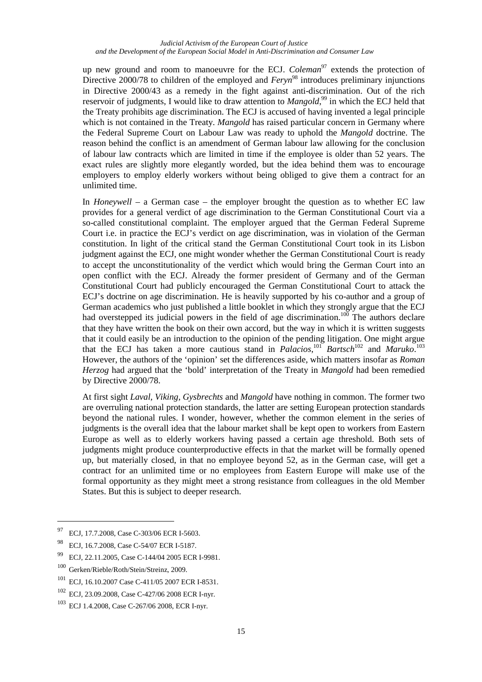up new ground and room to manoeuvre for the ECJ. *Coleman*<sup>97</sup> extends the protection of Directive 2000/78 to children of the employed and *Feryn*<sup>98</sup> introduces preliminary injunctions in Directive 2000/43 as a remedy in the fight against anti-discrimination. Out of the rich reservoir of judgments, I would like to draw attention to *Mangold*,<sup>99</sup> in which the ECJ held that the Treaty prohibits age discrimination. The ECJ is accused of having invented a legal principle which is not contained in the Treaty. *Mangold* has raised particular concern in Germany where the Federal Supreme Court on Labour Law was ready to uphold the *Mangold* doctrine. The reason behind the conflict is an amendment of German labour law allowing for the conclusion of labour law contracts which are limited in time if the employee is older than 52 years. The exact rules are slightly more elegantly worded, but the idea behind them was to encourage employers to employ elderly workers without being obliged to give them a contract for an unlimited time.

In *Honeywell –* a German case – the employer brought the question as to whether EC law provides for a general verdict of age discrimination to the German Constitutional Court via a so-called constitutional complaint. The employer argued that the German Federal Supreme Court i.e. in practice the ECJ's verdict on age discrimination, was in violation of the German constitution. In light of the critical stand the German Constitutional Court took in its Lisbon judgment against the ECJ, one might wonder whether the German Constitutional Court is ready to accept the unconstitutionality of the verdict which would bring the German Court into an open conflict with the ECJ. Already the former president of Germany and of the German Constitutional Court had publicly encouraged the German Constitutional Court to attack the ECJ's doctrine on age discrimination. He is heavily supported by his co-author and a group of German academics who just published a little booklet in which they strongly argue that the ECJ had overstepped its judicial powers in the field of age discrimination.<sup>100</sup> The authors declare that they have written the book on their own accord, but the way in which it is written suggests that it could easily be an introduction to the opinion of the pending litigation. One might argue that the ECJ has taken a more cautious stand in *Palacios*, <sup>101</sup> *Bartsch*<sup>102</sup> and *Maruko*. 103 However, the authors of the 'opinion' set the differences aside, which matters insofar as *Roman Herzog* had argued that the 'bold' interpretation of the Treaty in *Mangold* had been remedied by Directive 2000/78.

At first sight *Laval, Viking, Gysbrechts* and *Mangold* have nothing in common. The former two are overruling national protection standards, the latter are setting European protection standards beyond the national rules. I wonder, however, whether the common element in the series of judgments is the overall idea that the labour market shall be kept open to workers from Eastern Europe as well as to elderly workers having passed a certain age threshold. Both sets of judgments might produce counterproductive effects in that the market will be formally opened up, but materially closed, in that no employee beyond 52, as in the German case, will get a contract for an unlimited time or no employees from Eastern Europe will make use of the formal opportunity as they might meet a strong resistance from colleagues in the old Member States. But this is subject to deeper research.

<sup>97</sup> ECJ, 17.7.2008, Case C-303/06 ECR I-5603.

ECJ, 16.7.2008, Case C-54/07 ECR I-5187.

<sup>99</sup> ECJ, 22.11.2005, Case C-144/04 2005 ECR I-9981.

<sup>100</sup> Gerken/Rieble/Roth/Stein/Streinz, 2009.

<sup>101</sup> ECJ, 16.10.2007 Case C-411/05 2007 ECR I-8531.

<sup>102</sup> ECJ, 23.09.2008, Case C-427/06 2008 ECR I-nyr.

<sup>103</sup> ECJ 1.4.2008, Case C-267/06 2008, ECR I-nyr.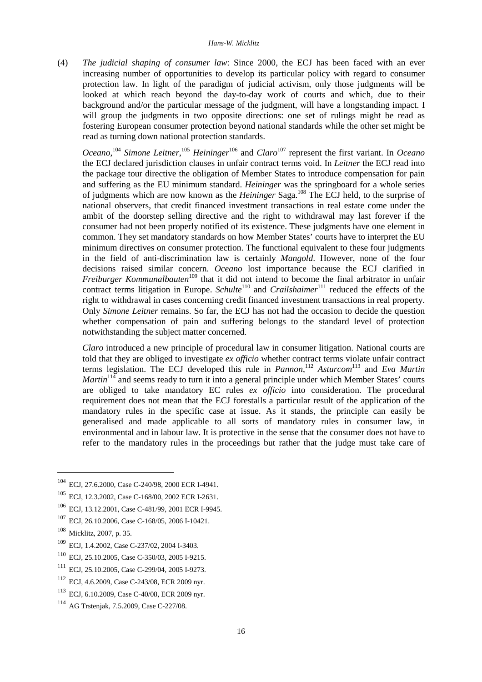(4) *The judicial shaping of consumer law*: Since 2000, the ECJ has been faced with an ever increasing number of opportunities to develop its particular policy with regard to consumer protection law. In light of the paradigm of judicial activism, only those judgments will be looked at which reach beyond the day-to-day work of courts and which, due to their background and/or the particular message of the judgment, will have a longstanding impact. I will group the judgments in two opposite directions: one set of rulings might be read as fostering European consumer protection beyond national standards while the other set might be read as turning down national protection standards.

*Oceano*, <sup>104</sup> *Simone Leitner*, <sup>105</sup> *Heininger*<sup>106</sup> and *Claro*<sup>107</sup> represent the first variant. In *Oceano* the ECJ declared jurisdiction clauses in unfair contract terms void. In *Leitner* the ECJ read into the package tour directive the obligation of Member States to introduce compensation for pain and suffering as the EU minimum standard. *Heininger* was the springboard for a whole series of judgments which are now known as the *Heininger* Saga.<sup>108</sup> The ECJ held, to the surprise of national observers, that credit financed investment transactions in real estate come under the ambit of the doorstep selling directive and the right to withdrawal may last forever if the consumer had not been properly notified of its existence. These judgments have one element in common. They set mandatory standards on how Member States' courts have to interpret the EU minimum directives on consumer protection. The functional equivalent to these four judgments in the field of anti-discrimination law is certainly *Mangold*. However, none of the four decisions raised similar concern. *Oceano* lost importance because the ECJ clarified in *Freiburger Kommunalbauten*<sup>109</sup> that it did not intend to become the final arbitrator in unfair contract terms litigation in Europe. *Schulte*<sup>110</sup> and *Crailshaimer*<sup>111</sup> reduced the effects of the right to withdrawal in cases concerning credit financed investment transactions in real property. Only *Simone Leitner* remains. So far, the ECJ has not had the occasion to decide the question whether compensation of pain and suffering belongs to the standard level of protection notwithstanding the subject matter concerned.

*Claro* introduced a new principle of procedural law in consumer litigation. National courts are told that they are obliged to investigate *ex officio* whether contract terms violate unfair contract terms legislation. The ECJ developed this rule in *Pannon*, <sup>112</sup> *Asturcom*<sup>113</sup> and *Eva Martin Martin*<sup>114</sup> and seems ready to turn it into a general principle under which Member States' courts are obliged to take mandatory EC rules *ex officio* into consideration. The procedural requirement does not mean that the ECJ forestalls a particular result of the application of the mandatory rules in the specific case at issue. As it stands, the principle can easily be generalised and made applicable to all sorts of mandatory rules in consumer law, in environmental and in labour law. It is protective in the sense that the consumer does not have to refer to the mandatory rules in the proceedings but rather that the judge must take care of

- <sup>104</sup> ECJ, 27.6.2000, Case C-240/98, 2000 ECR I-4941.
- <sup>105</sup> ECJ, 12.3.2002, Case C-168/00, 2002 ECR I-2631.
- <sup>106</sup> ECJ, 13.12.2001, Case C-481/99, 2001 ECR I-9945.
- <sup>107</sup> ECJ, 26.10.2006, Case C-168/05, 2006 I-10421.

- <sup>109</sup> ECJ, 1.4.2002, Case C-237/02, 2004 I-3403.
- <sup>110</sup> ECJ, 25.10.2005, Case C-350/03, 2005 I-9215.
- <sup>111</sup> ECJ, 25.10.2005, Case C-299/04, 2005 I-9273.
- <sup>112</sup> ECJ, 4.6.2009, Case C-243/08, ECR 2009 nyr.
- <sup>113</sup> ECJ, 6.10.2009, Case C-40/08, ECR 2009 nyr.
- <sup>114</sup> AG Trstenjak, 7.5.2009, Case C-227/08.

<sup>108</sup> Micklitz, 2007, p. 35.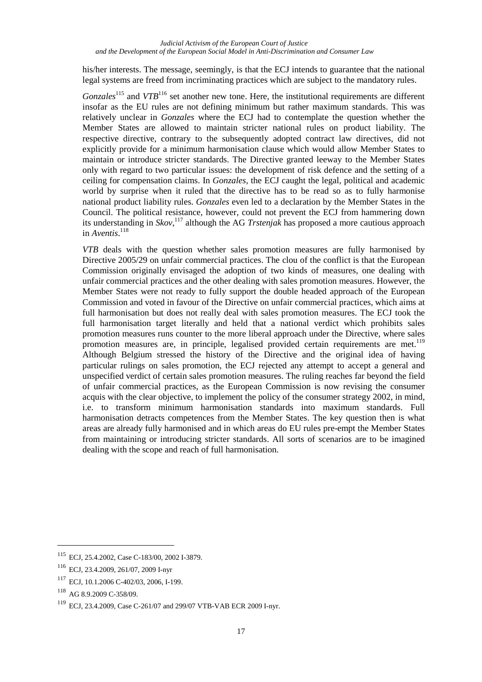his/her interests. The message, seemingly, is that the ECJ intends to guarantee that the national legal systems are freed from incriminating practices which are subject to the mandatory rules.

*Gonzales*<sup>115</sup> and *VTB*<sup>116</sup> set another new tone. Here, the institutional requirements are different insofar as the EU rules are not defining minimum but rather maximum standards. This was relatively unclear in *Gonzales* where the ECJ had to contemplate the question whether the Member States are allowed to maintain stricter national rules on product liability. The respective directive, contrary to the subsequently adopted contract law directives, did not explicitly provide for a minimum harmonisation clause which would allow Member States to maintain or introduce stricter standards. The Directive granted leeway to the Member States only with regard to two particular issues: the development of risk defence and the setting of a ceiling for compensation claims. In *Gonzales,* the ECJ caught the legal, political and academic world by surprise when it ruled that the directive has to be read so as to fully harmonise national product liability rules. *Gonzales* even led to a declaration by the Member States in the Council. The political resistance, however, could not prevent the ECJ from hammering down its understanding in *Skov*, <sup>117</sup> although the AG *Trstenjak* has proposed a more cautious approach in *Aventis*. 118

*VTB* deals with the question whether sales promotion measures are fully harmonised by Directive 2005/29 on unfair commercial practices. The clou of the conflict is that the European Commission originally envisaged the adoption of two kinds of measures, one dealing with unfair commercial practices and the other dealing with sales promotion measures. However, the Member States were not ready to fully support the double headed approach of the European Commission and voted in favour of the Directive on unfair commercial practices, which aims at full harmonisation but does not really deal with sales promotion measures. The ECJ took the full harmonisation target literally and held that a national verdict which prohibits sales promotion measures runs counter to the more liberal approach under the Directive, where sales promotion measures are, in principle, legalised provided certain requirements are met.<sup>119</sup> Although Belgium stressed the history of the Directive and the original idea of having particular rulings on sales promotion, the ECJ rejected any attempt to accept a general and unspecified verdict of certain sales promotion measures. The ruling reaches far beyond the field of unfair commercial practices, as the European Commission is now revising the consumer acquis with the clear objective, to implement the policy of the consumer strategy 2002, in mind, i.e. to transform minimum harmonisation standards into maximum standards. Full harmonisation detracts competences from the Member States. The key question then is what areas are already fully harmonised and in which areas do EU rules pre-empt the Member States from maintaining or introducing stricter standards. All sorts of scenarios are to be imagined dealing with the scope and reach of full harmonisation.

<sup>115</sup> ECJ, 25.4.2002, Case C-183/00, 2002 I-3879.

<sup>116</sup> ECJ, 23.4.2009, 261/07, 2009 I-nyr

<sup>117</sup> ECJ, 10.1.2006 C-402/03, 2006, I-199.

<sup>118</sup> AG 8.9.2009 C-358/09.

<sup>119</sup> ECJ, 23.4.2009, Case C-261/07 and 299/07 VTB-VAB ECR 2009 I-nyr.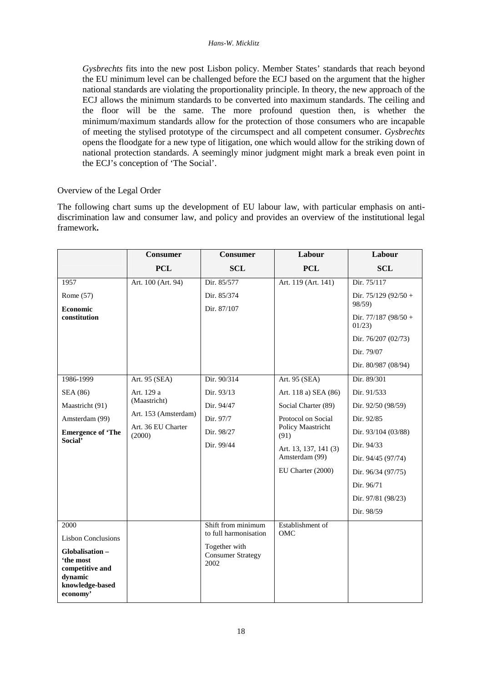#### *Hans-W. Micklitz*

*Gysbrechts* fits into the new post Lisbon policy. Member States' standards that reach beyond the EU minimum level can be challenged before the ECJ based on the argument that the higher national standards are violating the proportionality principle. In theory, the new approach of the ECJ allows the minimum standards to be converted into maximum standards. The ceiling and the floor will be the same. The more profound question then, is whether the minimum/maximum standards allow for the protection of those consumers who are incapable of meeting the stylised prototype of the circumspect and all competent consumer. *Gysbrechts* opens the floodgate for a new type of litigation, one which would allow for the striking down of national protection standards. A seemingly minor judgment might mark a break even point in the ECJ's conception of 'The Social'.

## Overview of the Legal Order

The following chart sums up the development of EU labour law, with particular emphasis on antidiscrimination law and consumer law, and policy and provides an overview of the institutional legal framework**.** 

|                                                                              | <b>Consumer</b>              | <b>Consumer</b>                            | Labour                                  | Labour                         |
|------------------------------------------------------------------------------|------------------------------|--------------------------------------------|-----------------------------------------|--------------------------------|
|                                                                              | <b>PCL</b>                   | <b>SCL</b>                                 | <b>PCL</b>                              | <b>SCL</b>                     |
| 1957                                                                         | Art. 100 (Art. 94)           | Dir. 85/577                                | Art. 119 (Art. 141)                     | Dir. 75/117                    |
| Rome (57)<br><b>Economic</b>                                                 |                              | Dir. 85/374<br>Dir. 87/107                 |                                         | Dir. 75/129 (92/50 +<br>98/59) |
| constitution                                                                 |                              |                                            |                                         | Dir. 77/187 (98/50 +<br>01/23  |
|                                                                              |                              |                                            |                                         | Dir. 76/207 (02/73)            |
|                                                                              |                              |                                            |                                         | Dir. 79/07                     |
|                                                                              |                              |                                            |                                         | Dir. 80/987 (08/94)            |
| 1986-1999                                                                    | Art. 95 (SEA)                | Dir. 90/314                                | Art. 95 (SEA)                           | Dir. 89/301                    |
| SEA (86)                                                                     | Art. 129 a                   | Dir. 93/13                                 | Art. 118 a) SEA (86)                    | Dir. 91/533                    |
| Maastricht (91)                                                              | (Maastricht)                 | Dir. 94/47                                 | Social Charter (89)                     | Dir. 92/50 (98/59)             |
| Amsterdam (99)                                                               | Art. 153 (Amsterdam)         | Dir. 97/7                                  | Protocol on Social                      | Dir. 92/85                     |
| <b>Emergence of 'The</b>                                                     | Art. 36 EU Charter<br>(2000) | Dir. 98/27                                 | Policy Maastricht<br>(91)               | Dir. 93/104 (03/88)            |
| Social'                                                                      |                              | Dir. 99/44                                 | Art. 13, 137, 141 (3)<br>Amsterdam (99) | Dir. 94/33                     |
|                                                                              |                              |                                            |                                         | Dir. 94/45 (97/74)             |
|                                                                              |                              |                                            | EU Charter (2000)                       | Dir. 96/34 (97/75)             |
|                                                                              |                              |                                            |                                         | Dir. 96/71                     |
|                                                                              |                              |                                            |                                         | Dir. 97/81 (98/23)             |
|                                                                              |                              |                                            |                                         | Dir. 98/59                     |
| 2000                                                                         |                              | Shift from minimum                         | Establishment of                        |                                |
| <b>Lisbon Conclusions</b>                                                    |                              | to full harmonisation                      | OMC                                     |                                |
| Globalisation-<br>'the most<br>competitive and<br>dynamic<br>knowledge-based |                              | Together with<br>Consumer Strategy<br>2002 |                                         |                                |
| economy'                                                                     |                              |                                            |                                         |                                |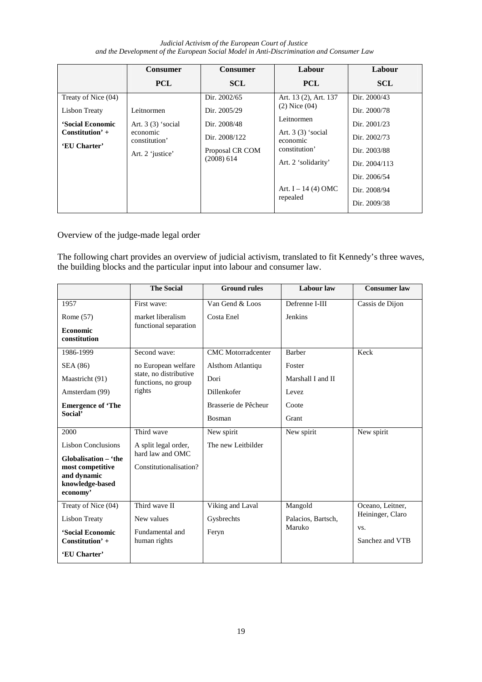*Judicial Activism of the European Court of Justice and the Development of the European Social Model in Anti-Discrimination and Consumer Law* 

|                      | <b>Consumer</b>                                                      | <b>Consumer</b>               | Labour                            | Labour                          |              |
|----------------------|----------------------------------------------------------------------|-------------------------------|-----------------------------------|---------------------------------|--------------|
|                      | <b>PCL</b>                                                           | <b>SCL</b>                    | <b>PCL</b>                        | <b>SCL</b>                      |              |
| Treaty of Nice (04)  |                                                                      | Dir. 2002/65                  | Art. 13 (2), Art. 137             | Dir. 2000/43                    |              |
| <b>Lisbon Treaty</b> | Leitnormen                                                           | Dir. 2005/29                  | $(2)$ Nice $(04)$                 | Dir. 2000/78                    |              |
| 'Social Economic     | Art. $3(3)$ 'social<br>economic<br>constitution'<br>Art. 2 'justice' | Dir. 2008/48                  | Leitnormen                        | Dir. 2001/23                    |              |
| $Construction3 +$    |                                                                      |                               | Dir. 2008/122                     | Art. $3(3)$ 'social<br>economic | Dir. 2002/73 |
| 'EU Charter'         |                                                                      | Proposal CR COM<br>(2008) 614 | constitution'                     | Dir. 2003/88                    |              |
|                      |                                                                      |                               | Art. 2 'solidarity'               | Dir. 2004/113                   |              |
|                      |                                                                      |                               |                                   | Dir. 2006/54                    |              |
|                      |                                                                      |                               | Art. $I - 14$ (4) OMC<br>repealed | Dir. 2008/94                    |              |
|                      |                                                                      |                               |                                   | Dir. 2009/38                    |              |

Overview of the judge-made legal order

The following chart provides an overview of judicial activism, translated to fit Kennedy's three waves, the building blocks and the particular input into labour and consumer law.

|                                 | <b>The Social</b>                                                              | <b>Ground rules</b>       | <b>Labour</b> law            | <b>Consumer law</b>                  |
|---------------------------------|--------------------------------------------------------------------------------|---------------------------|------------------------------|--------------------------------------|
| 1957                            | First wave:                                                                    | Van Gend & Loos           | Defrenne I-III               | Cassis de Dijon                      |
| Rome (57)                       | market liberalism                                                              | Costa Enel                | Jenkins                      |                                      |
| <b>Economic</b><br>constitution | functional separation                                                          |                           |                              |                                      |
| 1986-1999                       | Second wave:                                                                   | <b>CMC</b> Motorradcenter | <b>Barber</b>                | Keck                                 |
| <b>SEA</b> (86)                 | no European welfare<br>state, no distributive<br>functions, no group<br>rights | <b>Alsthom Atlantiqu</b>  | Foster                       |                                      |
| Maastricht (91)                 |                                                                                | Dori                      | Marshall I and II            |                                      |
| Amsterdam (99)                  |                                                                                | Dillenkofer               | Levez                        |                                      |
| <b>Emergence of 'The</b>        |                                                                                | Brasserie de Pêcheur      | Coote                        |                                      |
| Social'                         |                                                                                | Bosman                    | Grant                        |                                      |
| 2000                            | Third wave                                                                     | New spirit                | New spirit                   | New spirit                           |
| <b>Lisbon Conclusions</b>       | A split legal order,                                                           | The new Leithilder        |                              |                                      |
| Globalisation – 'the            | hard law and OMC                                                               |                           |                              |                                      |
| most competitive<br>and dynamic | Constitutionalisation?                                                         |                           |                              |                                      |
| knowledge-based                 |                                                                                |                           |                              |                                      |
| economy'                        |                                                                                |                           |                              |                                      |
| Treaty of Nice (04)             | Third wave II                                                                  | Viking and Laval          | Mangold                      | Oceano, Leitner,<br>Heininger, Claro |
| Lisbon Treaty                   | New values<br>Fundamental and                                                  | Gysbrechts<br>Feryn       | Palacios, Bartsch,<br>Maruko |                                      |
| 'Social Economic                |                                                                                |                           |                              | VS.                                  |
| $Construction1 +$               | human rights                                                                   |                           |                              | Sanchez and VTB                      |
| 'EU Charter'                    |                                                                                |                           |                              |                                      |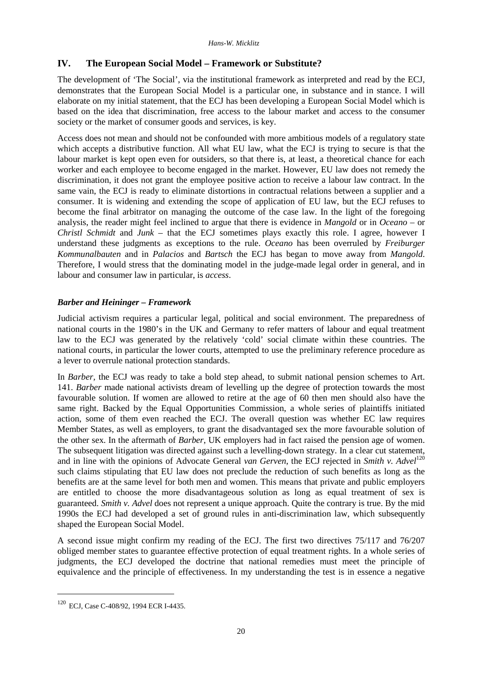## **IV. The European Social Model – Framework or Substitute?**

The development of 'The Social', via the institutional framework as interpreted and read by the ECJ, demonstrates that the European Social Model is a particular one, in substance and in stance. I will elaborate on my initial statement, that the ECJ has been developing a European Social Model which is based on the idea that discrimination, free access to the labour market and access to the consumer society or the market of consumer goods and services, is key.

Access does not mean and should not be confounded with more ambitious models of a regulatory state which accepts a distributive function. All what EU law, what the ECJ is trying to secure is that the labour market is kept open even for outsiders, so that there is, at least, a theoretical chance for each worker and each employee to become engaged in the market. However, EU law does not remedy the discrimination, it does not grant the employee positive action to receive a labour law contract. In the same vain, the ECJ is ready to eliminate distortions in contractual relations between a supplier and a consumer. It is widening and extending the scope of application of EU law, but the ECJ refuses to become the final arbitrator on managing the outcome of the case law. In the light of the foregoing analysis, the reader might feel inclined to argue that there is evidence in *Mangold* or in *Oceano* – or *Christl Schmidt* and *Junk* – that the ECJ sometimes plays exactly this role. I agree, however I understand these judgments as exceptions to the rule. *Oceano* has been overruled by *Freiburger Kommunalbauten* and in *Palacios* and *Bartsch* the ECJ has began to move away from *Mangold*. Therefore, I would stress that the dominating model in the judge-made legal order in general, and in labour and consumer law in particular, is *access*.

## *Barber and Heininger – Framework*

Judicial activism requires a particular legal, political and social environment. The preparedness of national courts in the 1980's in the UK and Germany to refer matters of labour and equal treatment law to the ECJ was generated by the relatively 'cold' social climate within these countries. The national courts, in particular the lower courts, attempted to use the preliminary reference procedure as a lever to overrule national protection standards.

In *Barber,* the ECJ was ready to take a bold step ahead, to submit national pension schemes to Art. 141. *Barber* made national activists dream of levelling up the degree of protection towards the most favourable solution. If women are allowed to retire at the age of 60 then men should also have the same right. Backed by the Equal Opportunities Commission, a whole series of plaintiffs initiated action, some of them even reached the ECJ. The overall question was whether EC law requires Member States, as well as employers, to grant the disadvantaged sex the more favourable solution of the other sex. In the aftermath of *Barber*, UK employers had in fact raised the pension age of women. The subsequent litigation was directed against such a levelling-down strategy. In a clear cut statement, and in line with the opinions of Advocate General *van Gerven*, the ECJ rejected in *Smith v. Advel*<sup>120</sup> such claims stipulating that EU law does not preclude the reduction of such benefits as long as the benefits are at the same level for both men and women. This means that private and public employers are entitled to choose the more disadvantageous solution as long as equal treatment of sex is guaranteed. *Smith v. Advel* does not represent a unique approach. Quite the contrary is true. By the mid 1990s the ECJ had developed a set of ground rules in anti-discrimination law, which subsequently shaped the European Social Model.

A second issue might confirm my reading of the ECJ. The first two directives 75/117 and 76/207 obliged member states to guarantee effective protection of equal treatment rights. In a whole series of judgments, the ECJ developed the doctrine that national remedies must meet the principle of equivalence and the principle of effectiveness. In my understanding the test is in essence a negative

<sup>120</sup> ECJ, Case C-408/92, 1994 ECR I-4435.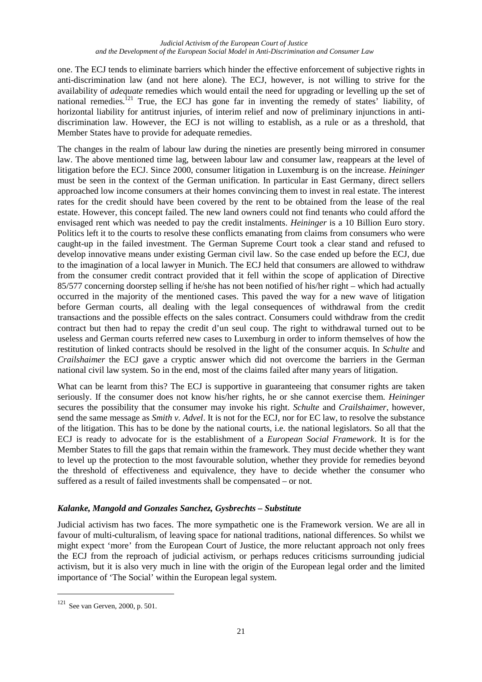one. The ECJ tends to eliminate barriers which hinder the effective enforcement of subjective rights in anti-discrimination law (and not here alone). The ECJ, however, is not willing to strive for the availability of *adequate* remedies which would entail the need for upgrading or levelling up the set of national remedies.<sup>121</sup> True, the ECJ has gone far in inventing the remedy of states' liability, of horizontal liability for antitrust injuries, of interim relief and now of preliminary injunctions in antidiscrimination law. However, the ECJ is not willing to establish, as a rule or as a threshold, that Member States have to provide for adequate remedies.

The changes in the realm of labour law during the nineties are presently being mirrored in consumer law. The above mentioned time lag, between labour law and consumer law, reappears at the level of litigation before the ECJ. Since 2000, consumer litigation in Luxemburg is on the increase. *Heininger* must be seen in the context of the German unification. In particular in East Germany, direct sellers approached low income consumers at their homes convincing them to invest in real estate. The interest rates for the credit should have been covered by the rent to be obtained from the lease of the real estate. However, this concept failed. The new land owners could not find tenants who could afford the envisaged rent which was needed to pay the credit instalments. *Heininger* is a 10 Billion Euro story. Politics left it to the courts to resolve these conflicts emanating from claims from consumers who were caught-up in the failed investment. The German Supreme Court took a clear stand and refused to develop innovative means under existing German civil law. So the case ended up before the ECJ, due to the imagination of a local lawyer in Munich. The ECJ held that consumers are allowed to withdraw from the consumer credit contract provided that it fell within the scope of application of Directive 85/577 concerning doorstep selling if he/she has not been notified of his/her right – which had actually occurred in the majority of the mentioned cases. This paved the way for a new wave of litigation before German courts, all dealing with the legal consequences of withdrawal from the credit transactions and the possible effects on the sales contract. Consumers could withdraw from the credit contract but then had to repay the credit d'un seul coup. The right to withdrawal turned out to be useless and German courts referred new cases to Luxemburg in order to inform themselves of how the restitution of linked contracts should be resolved in the light of the consumer acquis. In *Schulte* and *Crailshaimer* the ECJ gave a cryptic answer which did not overcome the barriers in the German national civil law system. So in the end, most of the claims failed after many years of litigation.

What can be learnt from this? The ECJ is supportive in guaranteeing that consumer rights are taken seriously. If the consumer does not know his/her rights, he or she cannot exercise them. *Heininger* secures the possibility that the consumer may invoke his right. *Schulte* and *Crailshaimer*, however, send the same message as *Smith v. Advel*. It is not for the ECJ, nor for EC law, to resolve the substance of the litigation. This has to be done by the national courts, i.e. the national legislators. So all that the ECJ is ready to advocate for is the establishment of a *European Social Framework*. It is for the Member States to fill the gaps that remain within the framework. They must decide whether they want to level up the protection to the most favourable solution, whether they provide for remedies beyond the threshold of effectiveness and equivalence, they have to decide whether the consumer who suffered as a result of failed investments shall be compensated – or not.

## *Kalanke, Mangold and Gonzales Sanchez, Gysbrechts – Substitute*

Judicial activism has two faces. The more sympathetic one is the Framework version. We are all in favour of multi-culturalism, of leaving space for national traditions, national differences. So whilst we might expect 'more' from the European Court of Justice, the more reluctant approach not only frees the ECJ from the reproach of judicial activism, or perhaps reduces criticisms surrounding judicial activism, but it is also very much in line with the origin of the European legal order and the limited importance of 'The Social' within the European legal system.

<sup>121</sup> See van Gerven, 2000, p. 501.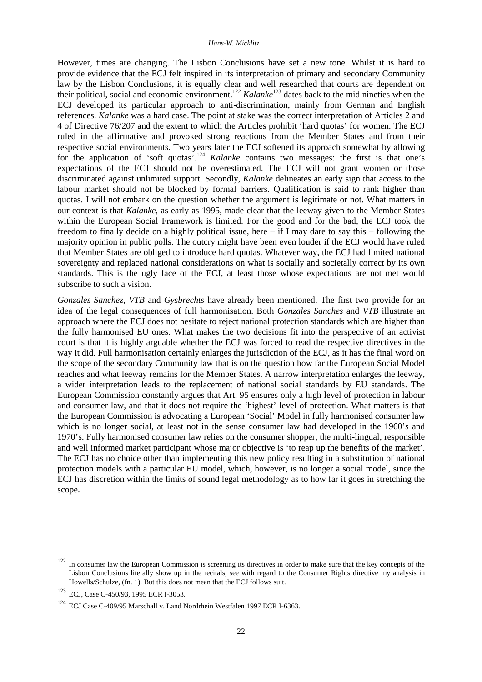However, times are changing. The Lisbon Conclusions have set a new tone. Whilst it is hard to provide evidence that the ECJ felt inspired in its interpretation of primary and secondary Community law by the Lisbon Conclusions, it is equally clear and well researched that courts are dependent on their political, social and economic environment.<sup>122</sup> *Kalanke*<sup>123</sup> dates back to the mid nineties when the ECJ developed its particular approach to anti-discrimination, mainly from German and English references. *Kalanke* was a hard case. The point at stake was the correct interpretation of Articles 2 and 4 of Directive 76/207 and the extent to which the Articles prohibit 'hard quotas' for women. The ECJ ruled in the affirmative and provoked strong reactions from the Member States and from their respective social environments. Two years later the ECJ softened its approach somewhat by allowing for the application of 'soft quotas'.<sup>124</sup> *Kalanke* contains two messages: the first is that one's expectations of the ECJ should not be overestimated. The ECJ will not grant women or those discriminated against unlimited support. Secondly, *Kalanke* delineates an early sign that access to the labour market should not be blocked by formal barriers. Qualification is said to rank higher than quotas. I will not embark on the question whether the argument is legitimate or not. What matters in our context is that *Kalanke,* as early as 1995, made clear that the leeway given to the Member States within the European Social Framework is limited. For the good and for the bad, the ECJ took the freedom to finally decide on a highly political issue, here – if I may dare to say this – following the majority opinion in public polls. The outcry might have been even louder if the ECJ would have ruled that Member States are obliged to introduce hard quotas. Whatever way, the ECJ had limited national sovereignty and replaced national considerations on what is socially and societally correct by its own standards. This is the ugly face of the ECJ, at least those whose expectations are not met would subscribe to such a vision.

*Gonzales Sanchez, VTB* and *Gysbrechts* have already been mentioned. The first two provide for an idea of the legal consequences of full harmonisation. Both *Gonzales Sanches* and *VTB* illustrate an approach where the ECJ does not hesitate to reject national protection standards which are higher than the fully harmonised EU ones. What makes the two decisions fit into the perspective of an activist court is that it is highly arguable whether the ECJ was forced to read the respective directives in the way it did. Full harmonisation certainly enlarges the jurisdiction of the ECJ, as it has the final word on the scope of the secondary Community law that is on the question how far the European Social Model reaches and what leeway remains for the Member States. A narrow interpretation enlarges the leeway, a wider interpretation leads to the replacement of national social standards by EU standards. The European Commission constantly argues that Art. 95 ensures only a high level of protection in labour and consumer law, and that it does not require the 'highest' level of protection. What matters is that the European Commission is advocating a European 'Social' Model in fully harmonised consumer law which is no longer social, at least not in the sense consumer law had developed in the 1960's and 1970's. Fully harmonised consumer law relies on the consumer shopper, the multi-lingual, responsible and well informed market participant whose major objective is 'to reap up the benefits of the market'. The ECJ has no choice other than implementing this new policy resulting in a substitution of national protection models with a particular EU model, which, however, is no longer a social model, since the ECJ has discretion within the limits of sound legal methodology as to how far it goes in stretching the scope.

<sup>&</sup>lt;sup>122</sup> In consumer law the European Commission is screening its directives in order to make sure that the key concepts of the Lisbon Conclusions literally show up in the recitals, see with regard to the Consumer Rights directive my analysis in Howells/Schulze, (fn. 1). But this does not mean that the ECJ follows suit.

<sup>123</sup> ECJ, Case C-450/93, 1995 ECR I-3053.

<sup>124</sup> ECJ Case C-409/95 Marschall v. Land Nordrhein Westfalen 1997 ECR I-6363.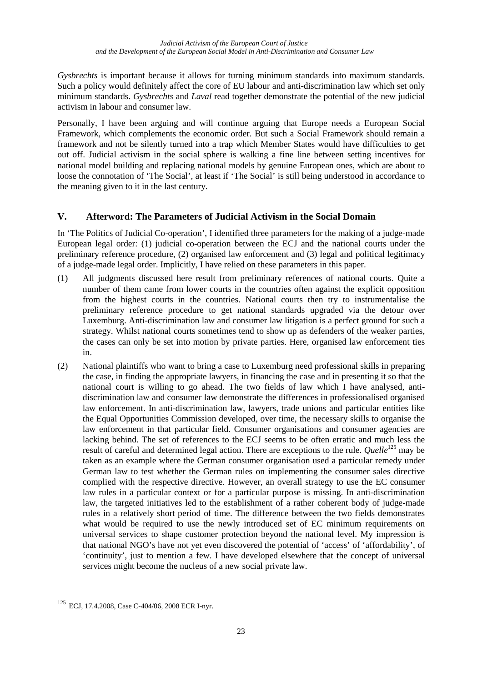*Gysbrechts* is important because it allows for turning minimum standards into maximum standards. Such a policy would definitely affect the core of EU labour and anti-discrimination law which set only minimum standards. *Gysbrechts* and *Laval* read together demonstrate the potential of the new judicial activism in labour and consumer law.

Personally, I have been arguing and will continue arguing that Europe needs a European Social Framework, which complements the economic order. But such a Social Framework should remain a framework and not be silently turned into a trap which Member States would have difficulties to get out off. Judicial activism in the social sphere is walking a fine line between setting incentives for national model building and replacing national models by genuine European ones, which are about to loose the connotation of 'The Social', at least if 'The Social' is still being understood in accordance to the meaning given to it in the last century.

## **V. Afterword: The Parameters of Judicial Activism in the Social Domain**

In 'The Politics of Judicial Co-operation', I identified three parameters for the making of a judge-made European legal order: (1) judicial co-operation between the ECJ and the national courts under the preliminary reference procedure, (2) organised law enforcement and (3) legal and political legitimacy of a judge-made legal order. Implicitly, I have relied on these parameters in this paper.

- (1) All judgments discussed here result from preliminary references of national courts. Quite a number of them came from lower courts in the countries often against the explicit opposition from the highest courts in the countries. National courts then try to instrumentalise the preliminary reference procedure to get national standards upgraded via the detour over Luxemburg. Anti-discrimination law and consumer law litigation is a perfect ground for such a strategy. Whilst national courts sometimes tend to show up as defenders of the weaker parties, the cases can only be set into motion by private parties. Here, organised law enforcement ties in.
- (2) National plaintiffs who want to bring a case to Luxemburg need professional skills in preparing the case, in finding the appropriate lawyers, in financing the case and in presenting it so that the national court is willing to go ahead. The two fields of law which I have analysed, antidiscrimination law and consumer law demonstrate the differences in professionalised organised law enforcement. In anti-discrimination law, lawyers, trade unions and particular entities like the Equal Opportunities Commission developed, over time, the necessary skills to organise the law enforcement in that particular field. Consumer organisations and consumer agencies are lacking behind. The set of references to the ECJ seems to be often erratic and much less the result of careful and determined legal action. There are exceptions to the rule. *Quelle*<sup>125</sup> may be taken as an example where the German consumer organisation used a particular remedy under German law to test whether the German rules on implementing the consumer sales directive complied with the respective directive. However, an overall strategy to use the EC consumer law rules in a particular context or for a particular purpose is missing. In anti-discrimination law, the targeted initiatives led to the establishment of a rather coherent body of judge-made rules in a relatively short period of time. The difference between the two fields demonstrates what would be required to use the newly introduced set of EC minimum requirements on universal services to shape customer protection beyond the national level. My impression is that national NGO's have not yet even discovered the potential of 'access' of 'affordability', of 'continuity', just to mention a few. I have developed elsewhere that the concept of universal services might become the nucleus of a new social private law.

<sup>125</sup> ECJ, 17.4.2008, Case C-404/06, 2008 ECR I-nyr.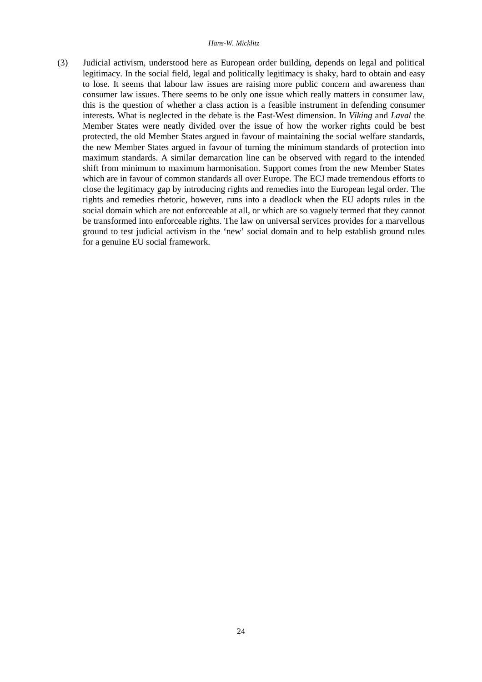#### *Hans-W. Micklitz*

(3) Judicial activism, understood here as European order building, depends on legal and political legitimacy. In the social field, legal and politically legitimacy is shaky, hard to obtain and easy to lose. It seems that labour law issues are raising more public concern and awareness than consumer law issues. There seems to be only one issue which really matters in consumer law, this is the question of whether a class action is a feasible instrument in defending consumer interests. What is neglected in the debate is the East-West dimension. In *Viking* and *Laval* the Member States were neatly divided over the issue of how the worker rights could be best protected, the old Member States argued in favour of maintaining the social welfare standards, the new Member States argued in favour of turning the minimum standards of protection into maximum standards. A similar demarcation line can be observed with regard to the intended shift from minimum to maximum harmonisation. Support comes from the new Member States which are in favour of common standards all over Europe. The ECJ made tremendous efforts to close the legitimacy gap by introducing rights and remedies into the European legal order. The rights and remedies rhetoric, however, runs into a deadlock when the EU adopts rules in the social domain which are not enforceable at all, or which are so vaguely termed that they cannot be transformed into enforceable rights. The law on universal services provides for a marvellous ground to test judicial activism in the 'new' social domain and to help establish ground rules for a genuine EU social framework.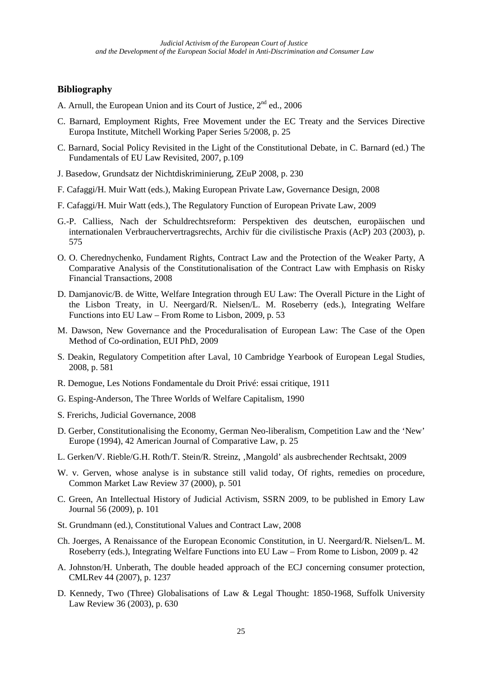## **Bibliography**

- A. Arnull, the European Union and its Court of Justice, 2<sup>nd</sup> ed., 2006
- C. Barnard, Employment Rights, Free Movement under the EC Treaty and the Services Directive Europa Institute, Mitchell Working Paper Series 5/2008, p. 25
- C. Barnard, Social Policy Revisited in the Light of the Constitutional Debate, in C. Barnard (ed.) The Fundamentals of EU Law Revisited, 2007, p.109
- J. Basedow, Grundsatz der Nichtdiskriminierung, ZEuP 2008, p. 230
- F. Cafaggi/H. Muir Watt (eds.), Making European Private Law, Governance Design, 2008
- F. Cafaggi/H. Muir Watt (eds.), The Regulatory Function of European Private Law, 2009
- G.-P. Calliess, Nach der Schuldrechtsreform: Perspektiven des deutschen, europäischen und internationalen Verbrauchervertragsrechts, Archiv für die civilistische Praxis (AcP) 203 (2003), p. 575
- O. O. Cherednychenko, Fundament Rights, Contract Law and the Protection of the Weaker Party, A Comparative Analysis of the Constitutionalisation of the Contract Law with Emphasis on Risky Financial Transactions, 2008
- D. Damjanovic/B. de Witte, Welfare Integration through EU Law: The Overall Picture in the Light of the Lisbon Treaty, in U. Neergard/R. Nielsen/L. M. Roseberry (eds.), Integrating Welfare Functions into EU Law – From Rome to Lisbon, 2009, p. 53
- M. Dawson, New Governance and the Proceduralisation of European Law: The Case of the Open Method of Co-ordination, EUI PhD, 2009
- S. Deakin, Regulatory Competition after Laval, 10 Cambridge Yearbook of European Legal Studies, 2008, p. 581
- R. Demogue, Les Notions Fondamentale du Droit Privé: essai critique, 1911
- G. Esping-Anderson, The Three Worlds of Welfare Capitalism, 1990
- S. Frerichs, Judicial Governance, 2008
- D. Gerber, Constitutionalising the Economy, German Neo-liberalism, Competition Law and the 'New' Europe (1994), 42 American Journal of Comparative Law, p. 25
- L. Gerken/V. Rieble/G.H. Roth/T. Stein/R. Streinz, 'Mangold' als ausbrechender Rechtsakt, 2009
- W. v. Gerven, whose analyse is in substance still valid today, Of rights, remedies on procedure, Common Market Law Review 37 (2000), p. 501
- C. Green, An Intellectual History of Judicial Activism, SSRN 2009, to be published in Emory Law Journal 56 (2009), p. 101
- St. Grundmann (ed.), Constitutional Values and Contract Law, 2008
- Ch. Joerges, A Renaissance of the European Economic Constitution, in U. Neergard/R. Nielsen/L. M. Roseberry (eds.), Integrating Welfare Functions into EU Law – From Rome to Lisbon, 2009 p. 42
- A. Johnston/H. Unberath, The double headed approach of the ECJ concerning consumer protection, CMLRev 44 (2007), p. 1237
- D. Kennedy, Two (Three) Globalisations of Law & Legal Thought: 1850-1968, Suffolk University Law Review 36 (2003), p. 630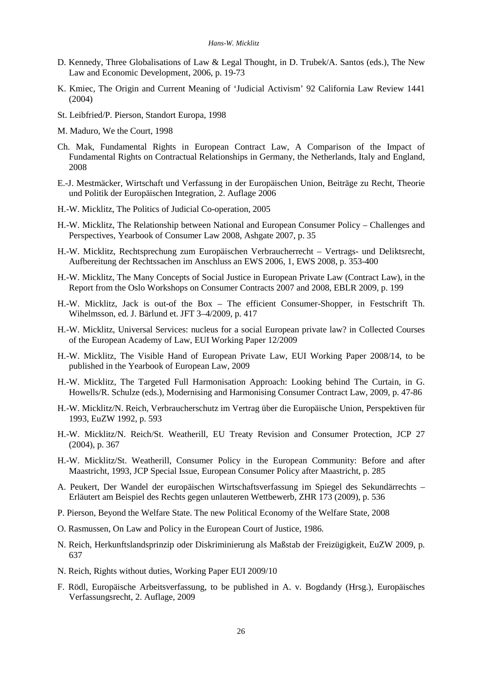- D. Kennedy, Three Globalisations of Law & Legal Thought, in D. Trubek/A. Santos (eds.), The New Law and Economic Development, 2006, p. 19-73
- K. Kmiec, The Origin and Current Meaning of 'Judicial Activism' 92 California Law Review 1441 (2004)
- St. Leibfried/P. Pierson, Standort Europa, 1998
- M. Maduro, We the Court, 1998
- Ch. Mak, Fundamental Rights in European Contract Law, A Comparison of the Impact of Fundamental Rights on Contractual Relationships in Germany, the Netherlands, Italy and England, 2008
- E.-J. Mestmäcker, Wirtschaft und Verfassung in der Europäischen Union, Beiträge zu Recht, Theorie und Politik der Europäischen Integration, 2. Auflage 2006
- H.-W. Micklitz, The Politics of Judicial Co-operation, 2005
- H.-W. Micklitz, The Relationship between National and European Consumer Policy Challenges and Perspectives, Yearbook of Consumer Law 2008, Ashgate 2007, p. 35
- H.-W. Micklitz, Rechtsprechung zum Europäischen Verbraucherrecht Vertrags- und Deliktsrecht, Aufbereitung der Rechtssachen im Anschluss an EWS 2006, 1, EWS 2008, p. 353-400
- H.-W. Micklitz, The Many Concepts of Social Justice in European Private Law (Contract Law), in the Report from the Oslo Workshops on Consumer Contracts 2007 and 2008, EBLR 2009, p. 199
- H.-W. Micklitz, Jack is out-of the Box The efficient Consumer-Shopper, in Festschrift Th. Wihelmsson, ed. J. Bärlund et. JFT 3–4/2009, p. 417
- H.-W. Micklitz, Universal Services: nucleus for a social European private law? in Collected Courses of the European Academy of Law, EUI Working Paper 12/2009
- H.-W. Micklitz, The Visible Hand of European Private Law, EUI Working Paper 2008/14, to be published in the Yearbook of European Law, 2009
- H.-W. Micklitz, The Targeted Full Harmonisation Approach: Looking behind The Curtain, in G. Howells/R. Schulze (eds.), Modernising and Harmonising Consumer Contract Law, 2009, p. 47-86
- H.-W. Micklitz/N. Reich, Verbraucherschutz im Vertrag über die Europäische Union, Perspektiven für 1993, EuZW 1992, p. 593
- H.-W. Micklitz/N. Reich/St. Weatherill, EU Treaty Revision and Consumer Protection, JCP 27 (2004), p. 367
- H.-W. Micklitz/St. Weatherill, Consumer Policy in the European Community: Before and after Maastricht, 1993, JCP Special Issue, European Consumer Policy after Maastricht, p. 285
- A. Peukert, Der Wandel der europäischen Wirtschaftsverfassung im Spiegel des Sekundärrechts Erläutert am Beispiel des Rechts gegen unlauteren Wettbewerb, ZHR 173 (2009), p. 536
- P. Pierson, Beyond the Welfare State. The new Political Economy of the Welfare State, 2008
- O. Rasmussen, On Law and Policy in the European Court of Justice, 1986.
- N. Reich, Herkunftslandsprinzip oder Diskriminierung als Maßstab der Freizügigkeit, EuZW 2009, p. 637
- N. Reich, Rights without duties, Working Paper EUI 2009/10
- F. Rödl, Europäische Arbeitsverfassung, to be published in A. v. Bogdandy (Hrsg.), Europäisches Verfassungsrecht, 2. Auflage, 2009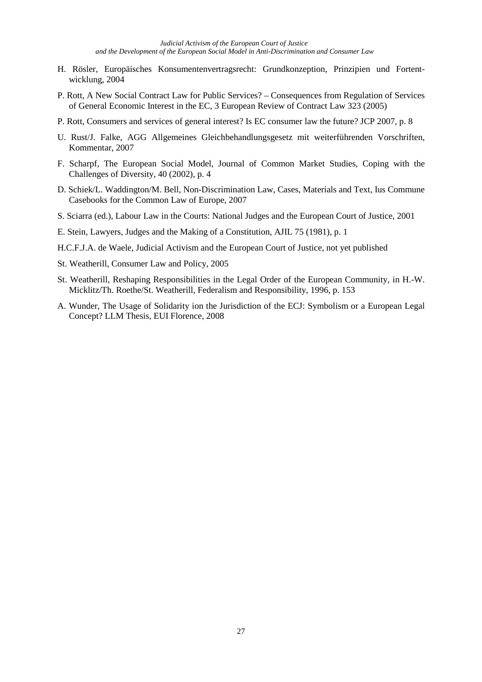- H. Rösler, Europäisches Konsumentenvertragsrecht: Grundkonzeption, Prinzipien und Fortentwicklung, 2004
- P. Rott, A New Social Contract Law for Public Services? Consequences from Regulation of Services of General Economic Interest in the EC, 3 European Review of Contract Law 323 (2005)
- P. Rott, Consumers and services of general interest? Is EC consumer law the future? JCP 2007, p. 8
- U. Rust/J. Falke, AGG Allgemeines Gleichbehandlungsgesetz mit weiterführenden Vorschriften, Kommentar, 2007
- F. Scharpf, The European Social Model, Journal of Common Market Studies, Coping with the Challenges of Diversity, 40 (2002), p. 4
- D. Schiek/L. Waddington/M. Bell, Non-Discrimination Law, Cases, Materials and Text, Ius Commune Casebooks for the Common Law of Europe, 2007
- S. Sciarra (ed.), Labour Law in the Courts: National Judges and the European Court of Justice, 2001
- E. Stein, Lawyers, Judges and the Making of a Constitution, AJIL 75 (1981), p. 1
- H.C.F.J.A. de Waele, Judicial Activism and the European Court of Justice, not yet published
- St. Weatherill, Consumer Law and Policy, 2005
- St. Weatherill, Reshaping Responsibilities in the Legal Order of the European Community, in H.-W. Micklitz/Th. Roethe/St. Weatherill, Federalism and Responsibility, 1996, p. 153
- A. Wunder, The Usage of Solidarity ion the Jurisdiction of the ECJ: Symbolism or a European Legal Concept? LLM Thesis, EUI Florence, 2008